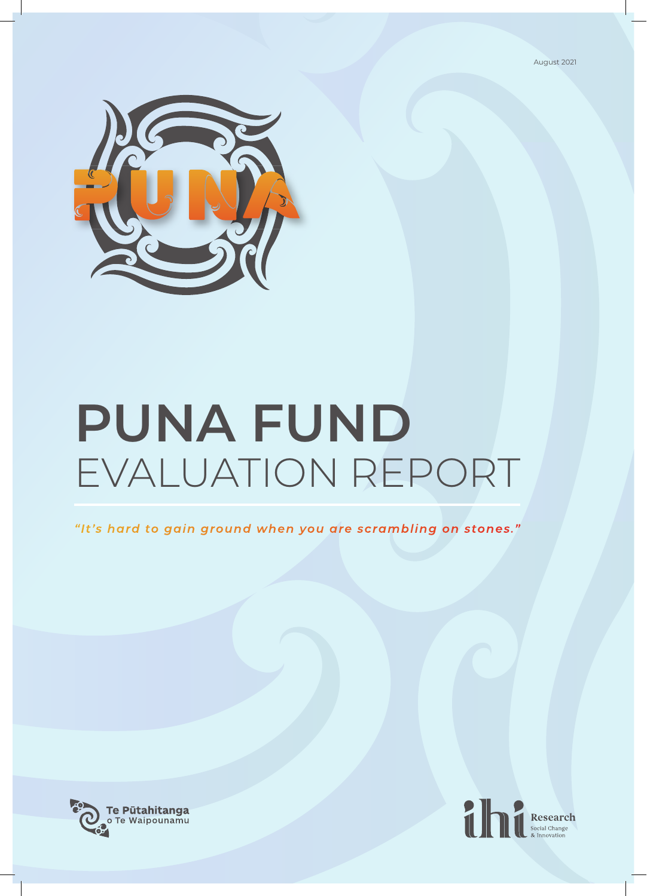# **PUNA FUND** EVALUATION REPORT

*"It's hard to gain ground when you are scrambling on stones."*



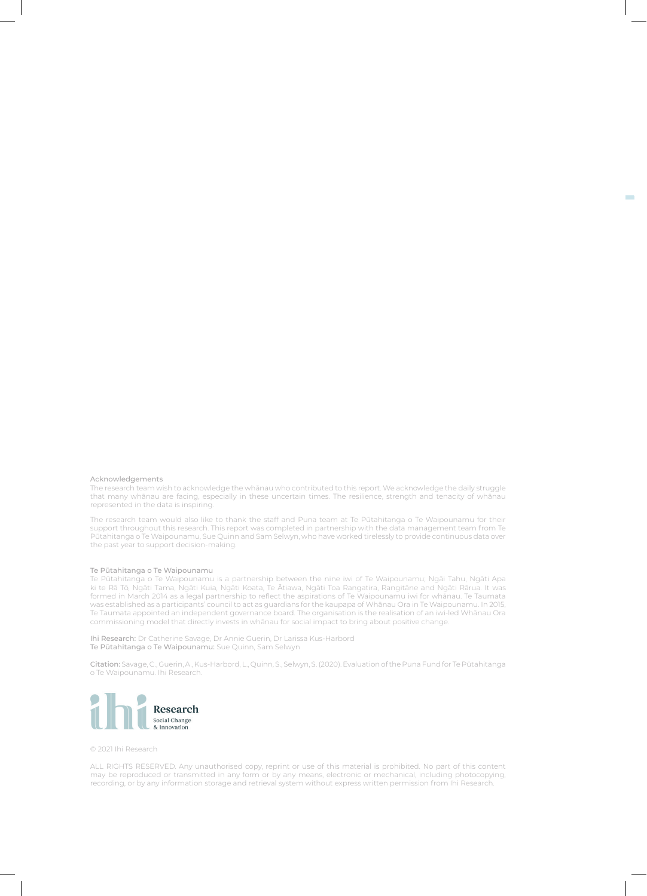#### Acknowledgements

The research team wish to acknowledge the whānau who contributed to this report. We acknowledge the daily struggle that many whānau are facing, especially in these uncertain times. The resilience, strength and tenacity of whānau represented in the data is inspiring.

 $\mathcal{L}_{\mathcal{A}}$ 

The research team would also like to thank the staff and Puna team at Te Pūtahitanga o Te Waipounamu for their support throughout this research. This report was completed in partnership with the data management team from Te Pūtahitanga o Te Waipounamu, Sue Quinn and Sam Selwyn, who have worked tirelessly to provide continuous data over the past year to support decision-making.

#### Te Pūtahitanga o Te Waipounamu

Te Pūtahitanga o Te Waipounamu is a partnership between the nine iwi of Te Waipounamu; Ngāi Tahu, Ngāti Apa ki te Rā Tō, Ngāti Tama, Ngāti Kuia, Ngāti Koata, Te Ātiawa, Ngāti Toa Rangatira, Rangitāne and Ngāti Rārua. It was formed in March 2014 as a legal partnership to reflect the aspirations of Te Waipounamu iwi for whānau. Te Taumata was established as a participants' council to act as guardians for the kaupapa of Whānau Ora in Te Waipounamu. In 2015, Te Taumata appointed an independent governance board. The organisation is the realisation of an iwi-led Whānau Ora commissioning model that directly invests in whānau for social impact to bring about positive change.

Ihi Research: Dr Catherine Savage, Dr Annie Guerin, Dr Larissa Kus-Harbord Te Pūtahitanga o Te Waipounamu: Sue Quinn, Sam Selwyn

Citation: Savage, C., Guerin, A., Kus-Harbord, L., Quinn, S., Selwyn, S. (2020). Evaluation of the Puna Fund for Te Pūtahitanga o Te Waipounamu. Ihi Research.



#### © 2021 Ihi Research

ALL RIGHTS RESERVED. Any unauthorised copy, reprint or use of this material is prohibited. No part of this content may be reproduced or transmitted in any form or by any means, electronic or mechanical, including photocopying, recording, or by any information storage and retrieval system without express written permission from Ihi Research.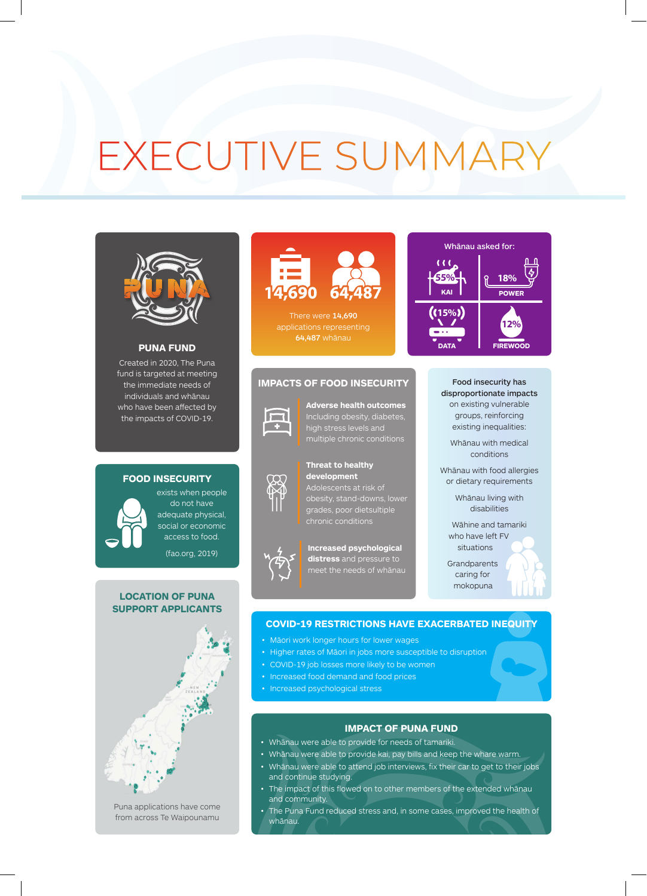# EXECUTIVE SUMMARY



#### **PUNA FUND**

Created in 2020, The Puna fund is targeted at meeting the immediate needs of individuals and whānau who have been affected by the impacts of COVID-19.

**FOOD INSECURITY**

# There were 14,690

64,487 whānau

#### **IMPACTS OF FOOD INSECURITY**



**Adverse health outcomes** Including obesity, diabetes, high stress levels and multiple chronic conditions



**Threat to healthy development**  grades, poor dietsultiple

**Increased psychological distress** and pressure to



Food insecurity has disproportionate impacts on existing vulnerable

> groups, reinforcing existing inequalities:

Whānau with medical conditions

Whānau with food allergies or dietary requirements

> Whānau living with disabilities

Wāhine and tamariki who have left FV situations

**Grandparents** caring for mokopuna

## (fao.org, 2019)

exists when people do not have adequate physical, social or economic access to food.

#### **LOCATION OF PUNA SUPPORT APPLICANTS**



Puna applications have come from across Te Waipounamu

#### **COVID-19 RESTRICTIONS HAVE EXACERBATED INEQUITY**

- Māori work longer hours for lower wages
- Higher rates of Māori in jobs more susceptible to disruption
- COVID-19 job losses more likely to be women
- Increased food demand and food prices
- Increased psychological stress

#### **IMPACT OF PUNA FUND**

- Whānau were able to provide for needs of tamariki.
- Whānau were able to provide kai, pay bills and keep the whare warm.
- Whānau were able to attend job interviews, fix their car to get to their jobs and continue studying.
- The impact of this flowed on to other members of the extended whānau and community.
- The Puna Fund reduced stress and, in some cases, improved the health of whānau.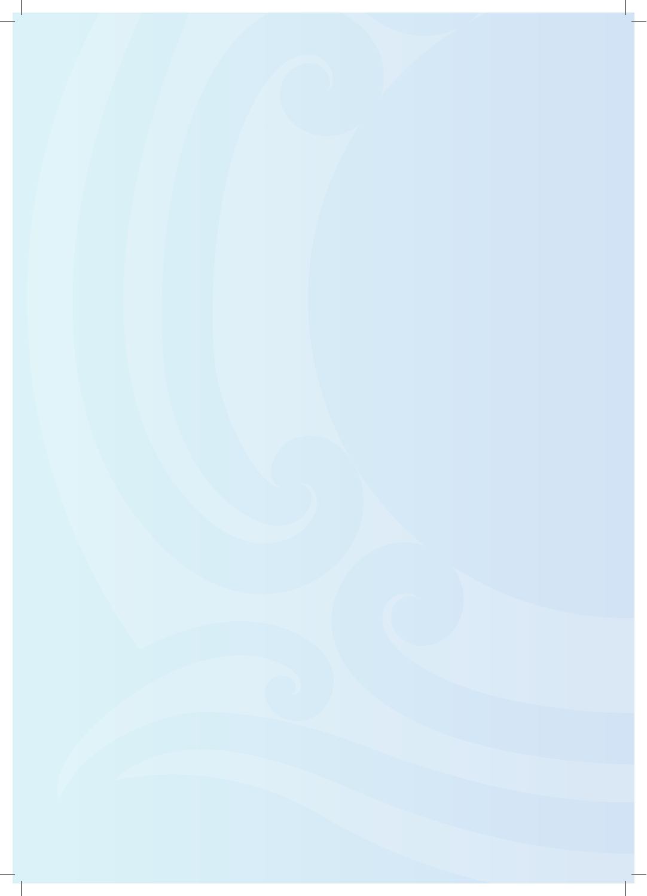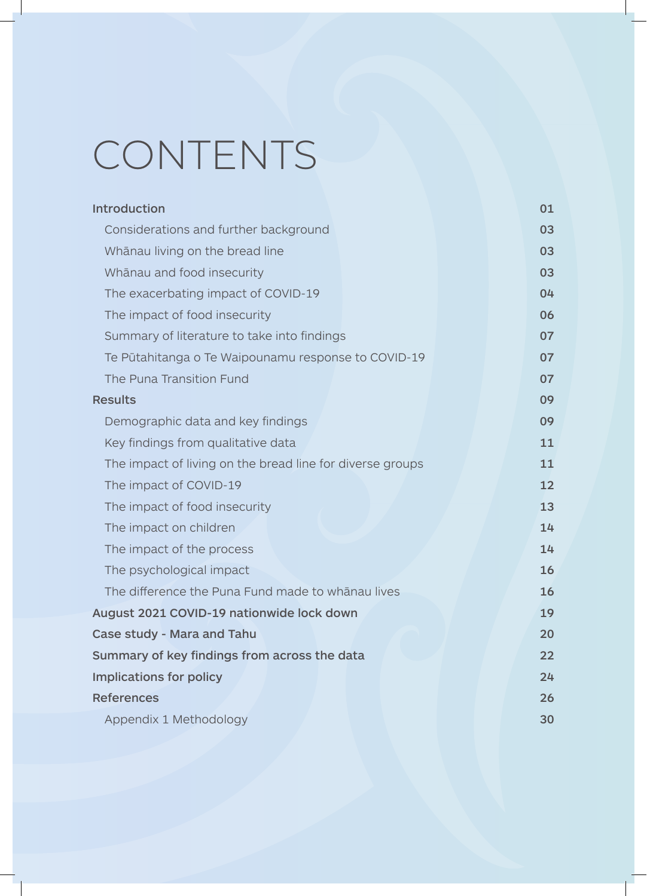# CONTENTS

| <b>Introduction</b>                                       | 01 |
|-----------------------------------------------------------|----|
| Considerations and further background                     | 03 |
| Whānau living on the bread line                           | 03 |
| Whānau and food insecurity                                | 03 |
| The exacerbating impact of COVID-19                       | 04 |
| The impact of food insecurity                             | 06 |
| Summary of literature to take into findings               | 07 |
| Te Pūtahitanga o Te Waipounamu response to COVID-19       | 07 |
| The Puna Transition Fund                                  | 07 |
| <b>Results</b>                                            | 09 |
| Demographic data and key findings                         | 09 |
| Key findings from qualitative data                        | 11 |
| The impact of living on the bread line for diverse groups | 11 |
| The impact of COVID-19                                    | 12 |
| The impact of food insecurity                             | 13 |
| The impact on children                                    | 14 |
| The impact of the process                                 | 14 |
| The psychological impact                                  | 16 |
| The difference the Puna Fund made to whanau lives         | 16 |
| August 2021 COVID-19 nationwide lock down                 | 19 |
| Case study - Mara and Tahu                                | 20 |
| Summary of key findings from across the data              | 22 |
| <b>Implications for policy</b>                            | 24 |
| <b>References</b>                                         | 26 |
| Appendix 1 Methodology                                    | 30 |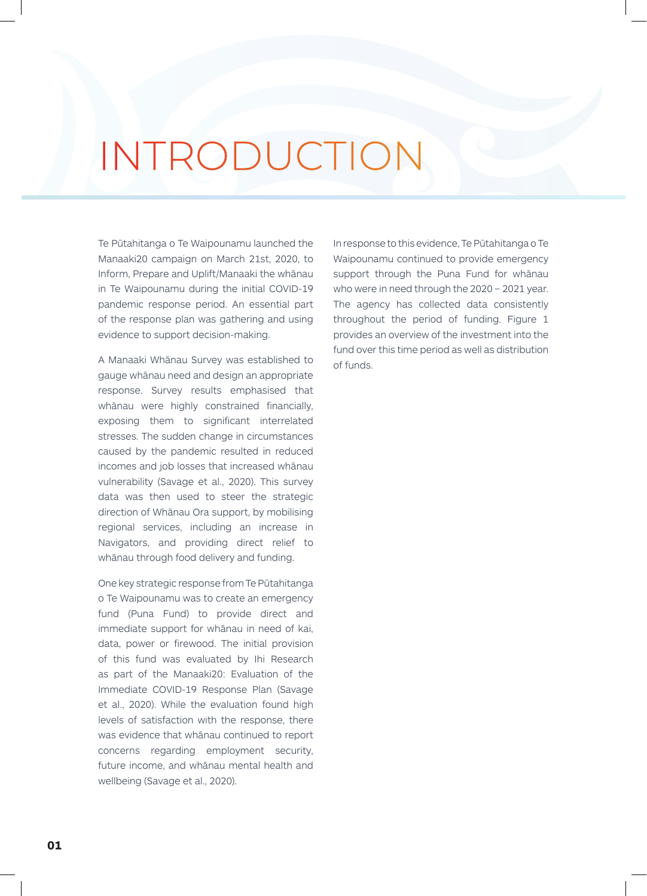# INTRODUCTION

Te Pūtahitanga o Te Waipounamu launched the Manaaki20 campaign on March 21st, 2020, to Inform, Prepare and Uplift/Manaaki the whānau in Te Waipounamu during the initial COVID-19 pandemic response period. An essential part of the response plan was gathering and using evidence to support decision-making.

A Manaaki Whānau Survey was established to gauge whānau need and design an appropriate response. Survey results emphasised that whānau were highly constrained financially, exposing them to significant interrelated stresses. The sudden change in circumstances caused by the pandemic resulted in reduced incomes and job losses that increased whānau vulnerability (Savage et al., 2020). This survey data was then used to steer the strategic direction of Whānau Ora support, by mobilising regional services, including an increase in Navigators, and providing direct relief to whānau through food delivery and funding.

One key strategic response from Te Pūtahitanga o Te Waipounamu was to create an emergency fund (Puna Fund) to provide direct and immediate support for whānau in need of kai, data, power or firewood. The initial provision of this fund was evaluated by Ihi Research as part of the Manaaki20: Evaluation of the Immediate COVID-19 Response Plan (Savage et al., 2020). While the evaluation found high levels of satisfaction with the response, there was evidence that whānau continued to report concerns regarding employment security, future income, and whānau mental health and wellbeing (Savage et al., 2020).

In response to this evidence, Te Pūtahitanga o Te Waipounamu continued to provide emergency support through the Puna Fund for whānau who were in need through the 2020 – 2021 year. The agency has collected data consistently throughout the period of funding. Figure 1 provides an overview of the investment into the fund over this time period as well as distribution of funds.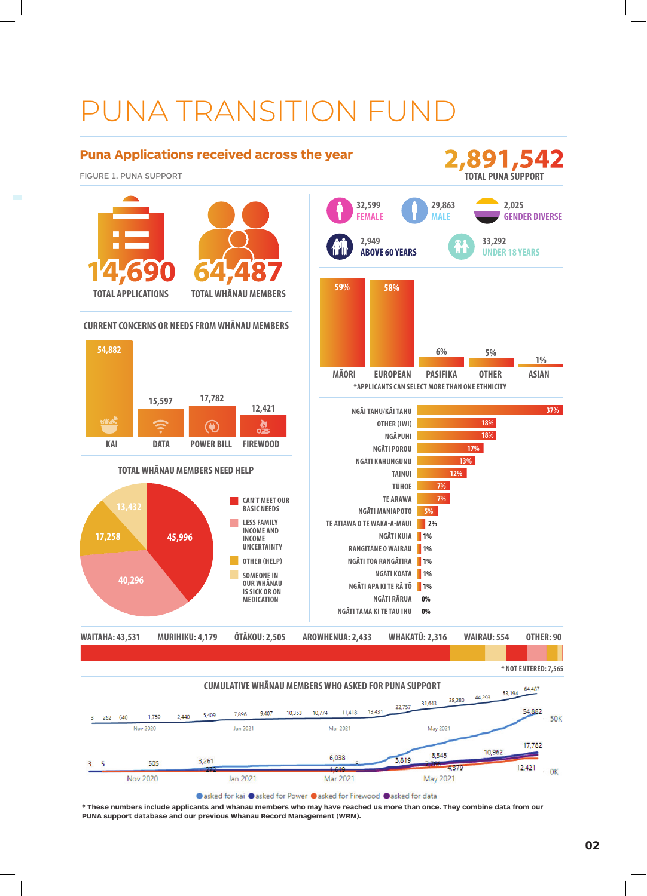### PUNA TRANSITION FUND

#### **Puna Applications received across the year**

FIGURE 1. PUNA SUPPORT



● asked for kai ● asked for Power ● asked for Firewood ● asked for data

**\* These numbers include applicants and whānau members who may have reached us more than once. They combine data from our PUNA support database and our previous Whānau Record Management (WRM).**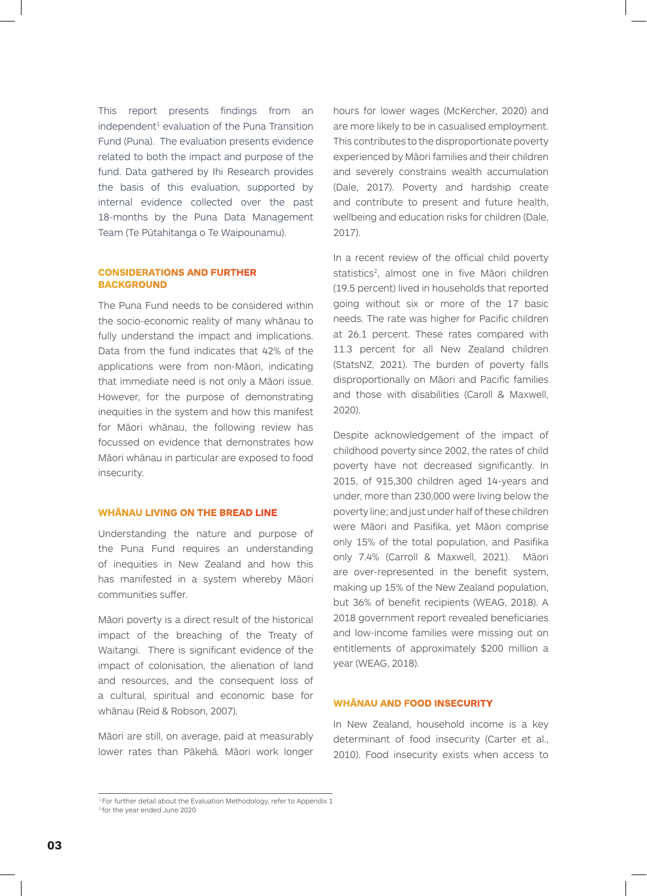This report presents findings from an independent<sup>1</sup> evaluation of the Puna Transition Fund (Puna). The evaluation presents evidence related to both the impact and purpose of the fund. Data gathered by Ihi Research provides the basis of this evaluation, supported by internal evidence collected over the past 18-months by the Puna Data Management Team (Te Pūtahitanga o Te Waipounamu).

#### **CONSIDERATIONS AND FURTHER BACKGROUND**

The Puna Fund needs to be considered within the socio-economic reality of many whānau to fully understand the impact and implications. Data from the fund indicates that 42% of the applications were from non-Māori, indicating that immediate need is not only a Māori issue. However, for the purpose of demonstrating inequities in the system and how this manifest for Māori whānau, the following review has focussed on evidence that demonstrates how Māori whānau in particular are exposed to food insecurity.

#### **WHĀNAU LIVING ON THE BREAD LINE**

Understanding the nature and purpose of the Puna Fund requires an understanding of inequities in New Zealand and how this has manifested in a system whereby Māori communities suffer.

Māori poverty is a direct result of the historical impact of the breaching of the Treaty of Waitangi. There is significant evidence of the impact of colonisation, the alienation of land and resources, and the consequent loss of a cultural, spiritual and economic base for whānau (Reid & Robson, 2007).

Māori are still, on average, paid at measurably lower rates than Pākehā. Māori work longer

hours for lower wages (McKercher, 2020) and are more likely to be in casualised employment. This contributes to the disproportionate poverty experienced by Māori families and their children and severely constrains wealth accumulation (Dale, 2017). Poverty and hardship create and contribute to present and future health, wellbeing and education risks for children (Dale, 2017).

In a recent review of the official child poverty statistics<sup>2</sup>, almost one in five Māori children (19.5 percent) lived in households that reported going without six or more of the 17 basic needs. The rate was higher for Pacific children at 26.1 percent. These rates compared with 11.3 percent for all New Zealand children (StatsNZ, 2021). The burden of poverty falls disproportionally on Māori and Pacific families and those with disabilities (Caroll & Maxwell, 2020).

Despite acknowledgement of the impact of childhood poverty since 2002, the rates of child poverty have not decreased significantly. In 2015, of 915,300 children aged 14-years and under, more than 230,000 were living below the poverty line; and just under half of these children were Māori and Pasifika, yet Māori comprise only 15% of the total population, and Pasifika only 7.4% (Carroll & Maxwell, 2021). Māori are over-represented in the benefit system, making up 15% of the New Zealand population, but 36% of benefit recipients (WEAG, 2018). A 2018 government report revealed beneficiaries and low-income families were missing out on entitlements of approximately \$200 million a year (WEAG, 2018).

#### **WHĀNAU AND FOOD INSECURITY**

In New Zealand, household income is a key determinant of food insecurity (Carter et al., 2010). Food insecurity exists when access to

<sup>&</sup>lt;sup>1</sup> For further detail about the Evaluation Methodology, refer to Appendix 1 2 for the year ended June 2020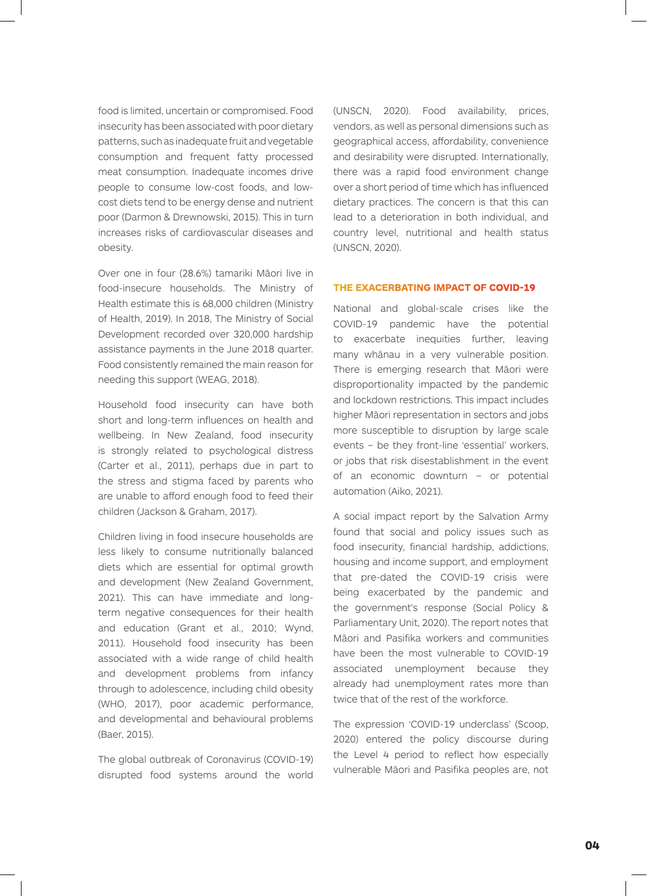food is limited, uncertain or compromised. Food insecurity has been associated with poor dietary patterns, such as inadequate fruit and vegetable consumption and frequent fatty processed meat consumption. Inadequate incomes drive people to consume low-cost foods, and lowcost diets tend to be energy dense and nutrient poor (Darmon & Drewnowski, 2015). This in turn increases risks of cardiovascular diseases and obesity.

Over one in four (28.6%) tamariki Māori live in food-insecure households. The Ministry of Health estimate this is 68,000 children (Ministry of Health, 2019). In 2018, The Ministry of Social Development recorded over 320,000 hardship assistance payments in the June 2018 quarter. Food consistently remained the main reason for needing this support (WEAG, 2018).

Household food insecurity can have both short and long-term influences on health and wellbeing. In New Zealand, food insecurity is strongly related to psychological distress (Carter et al., 2011), perhaps due in part to the stress and stigma faced by parents who are unable to afford enough food to feed their children (Jackson & Graham, 2017).

Children living in food insecure households are less likely to consume nutritionally balanced diets which are essential for optimal growth and development (New Zealand Government, 2021). This can have immediate and longterm negative consequences for their health and education (Grant et al., 2010; Wynd, 2011). Household food insecurity has been associated with a wide range of child health and development problems from infancy through to adolescence, including child obesity (WHO, 2017), poor academic performance, and developmental and behavioural problems (Baer, 2015).

The global outbreak of Coronavirus (COVID-19) disrupted food systems around the world (UNSCN, 2020). Food availability, prices, vendors, as well as personal dimensions such as geographical access, affordability, convenience and desirability were disrupted. Internationally, there was a rapid food environment change over a short period of time which has influenced dietary practices. The concern is that this can lead to a deterioration in both individual, and country level, nutritional and health status (UNSCN, 2020).

#### **THE EXACERBATING IMPACT OF COVID-19**

National and global-scale crises like the COVID-19 pandemic have the potential to exacerbate inequities further, leaving many whānau in a very vulnerable position. There is emerging research that Māori were disproportionality impacted by the pandemic and lockdown restrictions. This impact includes higher Māori representation in sectors and jobs more susceptible to disruption by large scale events – be they front-line 'essential' workers, or jobs that risk disestablishment in the event of an economic downturn – or potential automation (Aiko, 2021).

A social impact report by the Salvation Army found that social and policy issues such as food insecurity, financial hardship, addictions, housing and income support, and employment that pre-dated the COVID-19 crisis were being exacerbated by the pandemic and the government's response (Social Policy & Parliamentary Unit, 2020). The report notes that Māori and Pasifika workers and communities have been the most vulnerable to COVID-19 associated unemployment because they already had unemployment rates more than twice that of the rest of the workforce.

The expression 'COVID-19 underclass' (Scoop, 2020) entered the policy discourse during the Level 4 period to reflect how especially vulnerable Māori and Pasifika peoples are, not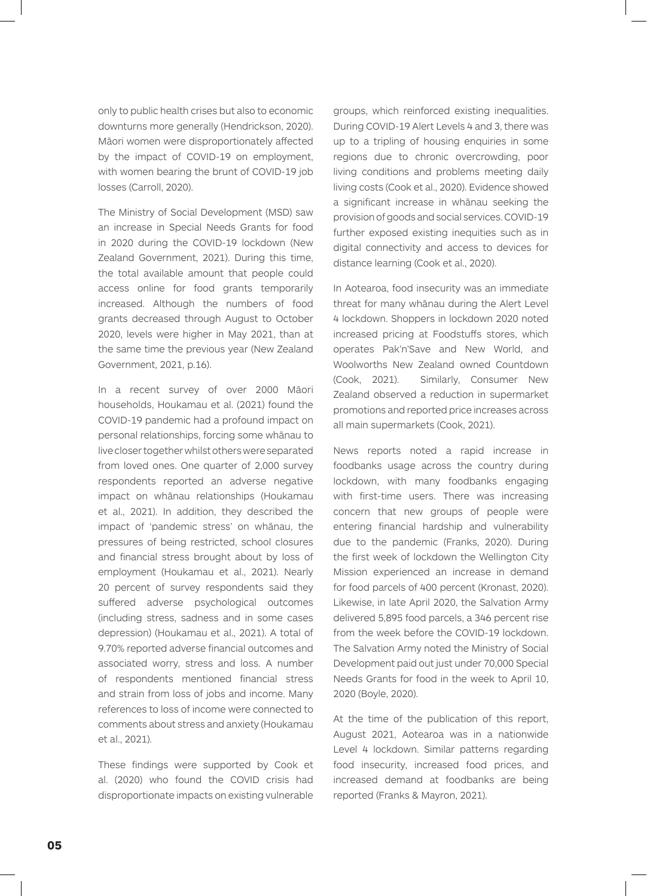only to public health crises but also to economic downturns more generally (Hendrickson, 2020). Māori women were disproportionately affected by the impact of COVID-19 on employment, with women bearing the brunt of COVID-19 job losses (Carroll, 2020).

The Ministry of Social Development (MSD) saw an increase in Special Needs Grants for food in 2020 during the COVID-19 lockdown (New Zealand Government, 2021). During this time, the total available amount that people could access online for food grants temporarily increased. Although the numbers of food grants decreased through August to October 2020, levels were higher in May 2021, than at the same time the previous year (New Zealand Government, 2021, p.16).

In a recent survey of over 2000 Māori households, Houkamau et al. (2021) found the COVID-19 pandemic had a profound impact on personal relationships, forcing some whānau to live closer together whilst others were separated from loved ones. One quarter of 2,000 survey respondents reported an adverse negative impact on whānau relationships (Houkamau et al., 2021). In addition, they described the impact of 'pandemic stress' on whānau, the pressures of being restricted, school closures and financial stress brought about by loss of employment (Houkamau et al., 2021). Nearly 20 percent of survey respondents said they suffered adverse psychological outcomes (including stress, sadness and in some cases depression) (Houkamau et al., 2021). A total of 9.70% reported adverse financial outcomes and associated worry, stress and loss. A number of respondents mentioned financial stress and strain from loss of jobs and income. Many references to loss of income were connected to comments about stress and anxiety (Houkamau et al., 2021).

These findings were supported by Cook et al. (2020) who found the COVID crisis had disproportionate impacts on existing vulnerable

groups, which reinforced existing inequalities. During COVID-19 Alert Levels 4 and 3, there was up to a tripling of housing enquiries in some regions due to chronic overcrowding, poor living conditions and problems meeting daily living costs (Cook et al., 2020). Evidence showed a significant increase in whānau seeking the provision of goods and social services. COVID-19 further exposed existing inequities such as in digital connectivity and access to devices for distance learning (Cook et al., 2020).

In Aotearoa, food insecurity was an immediate threat for many whānau during the Alert Level 4 lockdown. Shoppers in lockdown 2020 noted increased pricing at Foodstuffs stores, which operates Pak'n'Save and New World, and Woolworths New Zealand owned Countdown (Cook, 2021). Similarly, Consumer New Zealand observed a reduction in supermarket promotions and reported price increases across all main supermarkets (Cook, 2021).

News reports noted a rapid increase in foodbanks usage across the country during lockdown, with many foodbanks engaging with first-time users. There was increasing concern that new groups of people were entering financial hardship and vulnerability due to the pandemic (Franks, 2020). During the first week of lockdown the Wellington City Mission experienced an increase in demand for food parcels of 400 percent (Kronast, 2020). Likewise, in late April 2020, the Salvation Army delivered 5,895 food parcels, a 346 percent rise from the week before the COVID-19 lockdown. The Salvation Army noted the Ministry of Social Development paid out just under 70,000 Special Needs Grants for food in the week to April 10, 2020 (Boyle, 2020).

At the time of the publication of this report, August 2021, Aotearoa was in a nationwide Level 4 lockdown. Similar patterns regarding food insecurity, increased food prices, and increased demand at foodbanks are being reported (Franks & Mayron, 2021).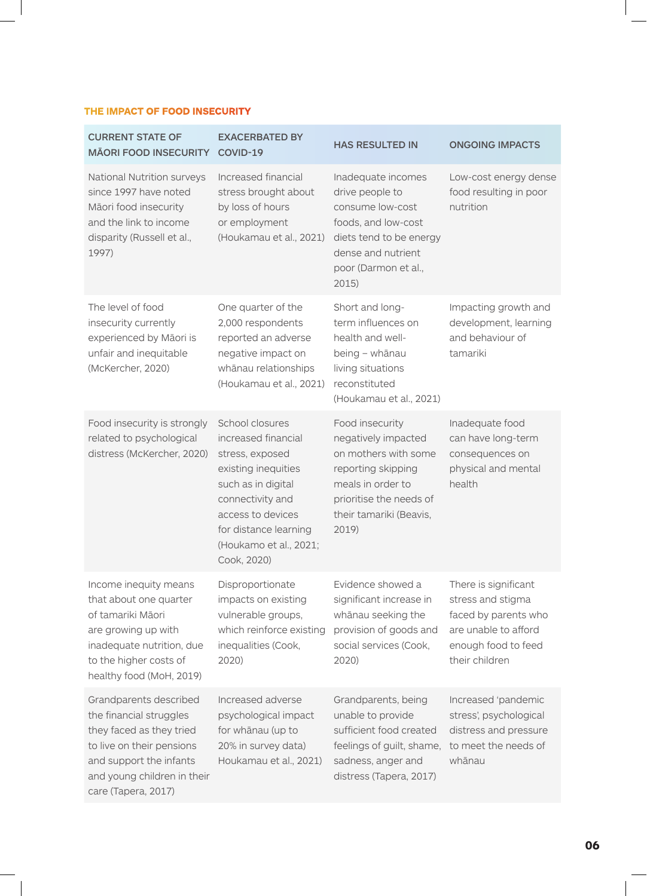#### **THE IMPACT OF FOOD INSECURITY**

| <b>CURRENT STATE OF</b><br><b>MAORI FOOD INSECURITY</b>                                                                                                                                     | <b>EXACERBATED BY</b><br>COVID-19                                                                                                                                                                                 | <b>HAS RESULTED IN</b>                                                                                                                                                   | <b>ONGOING IMPACTS</b>                                                                                                             |
|---------------------------------------------------------------------------------------------------------------------------------------------------------------------------------------------|-------------------------------------------------------------------------------------------------------------------------------------------------------------------------------------------------------------------|--------------------------------------------------------------------------------------------------------------------------------------------------------------------------|------------------------------------------------------------------------------------------------------------------------------------|
| National Nutrition surveys<br>since 1997 have noted<br>Māori food insecurity<br>and the link to income<br>disparity (Russell et al.,<br>1997)                                               | Increased financial<br>stress brought about<br>by loss of hours<br>or employment<br>(Houkamau et al., 2021)                                                                                                       | Inadequate incomes<br>drive people to<br>consume low-cost<br>foods, and low-cost<br>diets tend to be energy<br>dense and nutrient<br>poor (Darmon et al.,<br>2015)       | Low-cost energy dense<br>food resulting in poor<br>nutrition                                                                       |
| The level of food<br>insecurity currently<br>experienced by Māori is<br>unfair and inequitable<br>(McKercher, 2020)                                                                         | One quarter of the<br>2,000 respondents<br>reported an adverse<br>negative impact on<br>whānau relationships<br>(Houkamau et al., 2021)                                                                           | Short and long-<br>term influences on<br>health and well-<br>being - whānau<br>living situations<br>reconstituted<br>(Houkamau et al., 2021)                             | Impacting growth and<br>development, learning<br>and behaviour of<br>tamariki                                                      |
| Food insecurity is strongly<br>related to psychological<br>distress (McKercher, 2020)                                                                                                       | School closures<br>increased financial<br>stress, exposed<br>existing inequities<br>such as in digital<br>connectivity and<br>access to devices<br>for distance learning<br>(Houkamo et al., 2021;<br>Cook, 2020) | Food insecurity<br>negatively impacted<br>on mothers with some<br>reporting skipping<br>meals in order to<br>prioritise the needs of<br>their tamariki (Beavis,<br>2019) | Inadequate food<br>can have long-term<br>consequences on<br>physical and mental<br>health                                          |
| Income inequity means<br>that about one quarter<br>of tamariki Māori<br>are growing up with<br>inadequate nutrition, due<br>to the higher costs of<br>healthy food (MoH, 2019)              | Disproportionate<br>impacts on existing<br>vulnerable groups,<br>which reinforce existing<br>inequalities (Cook,<br>2020)                                                                                         | Evidence showed a<br>significant increase in<br>whānau seeking the<br>provision of goods and<br>social services (Cook,<br>2020)                                          | There is significant<br>stress and stigma<br>faced by parents who<br>are unable to afford<br>enough food to feed<br>their children |
| Grandparents described<br>the financial struggles<br>they faced as they tried<br>to live on their pensions<br>and support the infants<br>and young children in their<br>care (Tapera, 2017) | Increased adverse<br>psychological impact<br>for whānau (up to<br>20% in survey data)<br>Houkamau et al., 2021)                                                                                                   | Grandparents, being<br>unable to provide<br>sufficient food created<br>feelings of guilt, shame,<br>sadness, anger and<br>distress (Tapera, 2017)                        | Increased 'pandemic<br>stress', psychological<br>distress and pressure<br>to meet the needs of<br>whānau                           |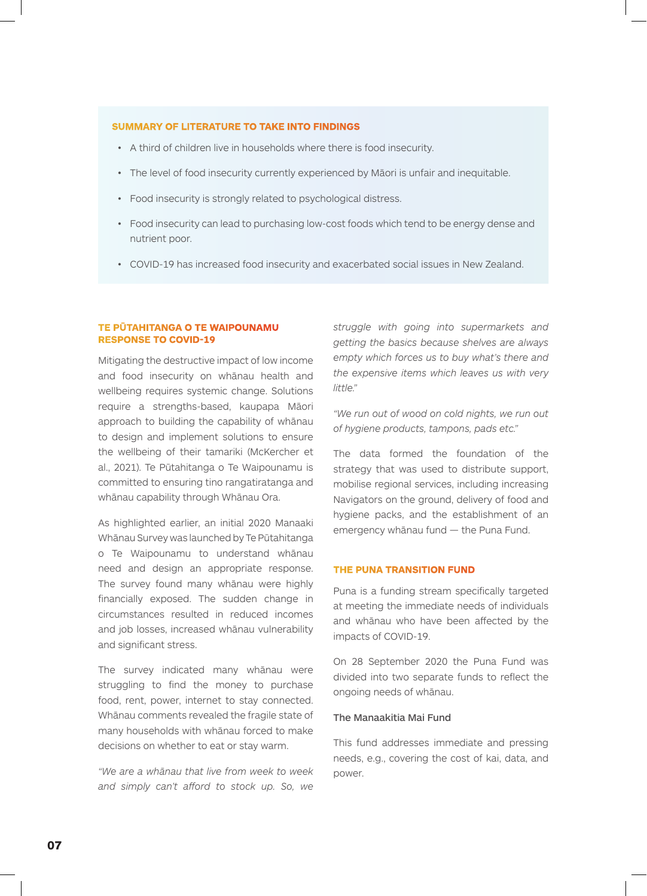#### **SUMMARY OF LITERATURE TO TAKE INTO FINDINGS**

- A third of children live in households where there is food insecurity.
- The level of food insecurity currently experienced by Māori is unfair and inequitable.
- Food insecurity is strongly related to psychological distress.
- Food insecurity can lead to purchasing low-cost foods which tend to be energy dense and nutrient poor.
- COVID-19 has increased food insecurity and exacerbated social issues in New Zealand.

#### **TE PŪTAHITANGA O TE WAIPOUNAMU RESPONSE TO COVID-19**

Mitigating the destructive impact of low income and food insecurity on whānau health and wellbeing requires systemic change. Solutions require a strengths-based, kaupapa Māori approach to building the capability of whānau to design and implement solutions to ensure the wellbeing of their tamariki (McKercher et al., 2021). Te Pūtahitanga o Te Waipounamu is committed to ensuring tino rangatiratanga and whānau capability through Whānau Ora.

As highlighted earlier, an initial 2020 Manaaki Whānau Survey was launched by Te Pūtahitanga o Te Waipounamu to understand whānau need and design an appropriate response. The survey found many whānau were highly financially exposed. The sudden change in circumstances resulted in reduced incomes and job losses, increased whānau vulnerability and significant stress.

The survey indicated many whānau were struggling to find the money to purchase food, rent, power, internet to stay connected. Whānau comments revealed the fragile state of many households with whānau forced to make decisions on whether to eat or stay warm.

*"We are a whānau that live from week to week and simply can't afford to stock up. So, we* 

*struggle with going into supermarkets and getting the basics because shelves are always empty which forces us to buy what's there and the expensive items which leaves us with very little."*

*"We run out of wood on cold nights, we run out of hygiene products, tampons, pads etc."*

The data formed the foundation of the strategy that was used to distribute support, mobilise regional services, including increasing Navigators on the ground, delivery of food and hygiene packs, and the establishment of an emergency whānau fund — the Puna Fund.

#### **THE PUNA TRANSITION FUND**

Puna is a funding stream specifically targeted at meeting the immediate needs of individuals and whānau who have been affected by the impacts of COVID-19.

On 28 September 2020 the Puna Fund was divided into two separate funds to reflect the ongoing needs of whānau.

#### The Manaakitia Mai Fund

This fund addresses immediate and pressing needs, e.g., covering the cost of kai, data, and power.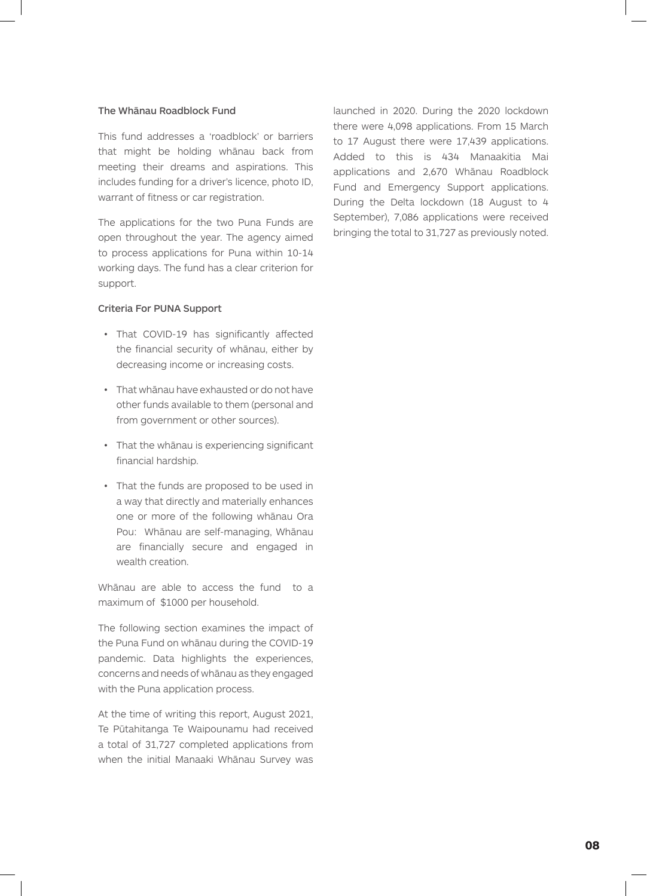#### The Whānau Roadblock Fund

This fund addresses a 'roadblock' or barriers that might be holding whānau back from meeting their dreams and aspirations. This includes funding for a driver's licence, photo ID, warrant of fitness or car registration.

The applications for the two Puna Funds are open throughout the year. The agency aimed to process applications for Puna within 10-14 working days. The fund has a clear criterion for support.

Criteria For PUNA Support

- That COVID-19 has significantly affected the financial security of whānau, either by decreasing income or increasing costs.
- That whānau have exhausted or do not have other funds available to them (personal and from government or other sources).
- That the whānau is experiencing significant financial hardship.
- That the funds are proposed to be used in a way that directly and materially enhances one or more of the following whānau Ora Pou: Whānau are self-managing, Whānau are financially secure and engaged in wealth creation.

Whānau are able to access the fund to a maximum of \$1000 per household.

The following section examines the impact of the Puna Fund on whānau during the COVID-19 pandemic. Data highlights the experiences, concerns and needs of whānau as they engaged with the Puna application process.

At the time of writing this report, August 2021, Te Pūtahitanga Te Waipounamu had received a total of 31,727 completed applications from when the initial Manaaki Whānau Survey was

launched in 2020. During the 2020 lockdown there were 4,098 applications. From 15 March to 17 August there were 17,439 applications. Added to this is 434 Manaakitia Mai applications and 2,670 Whānau Roadblock Fund and Emergency Support applications. During the Delta lockdown (18 August to 4 September), 7,086 applications were received bringing the total to 31,727 as previously noted.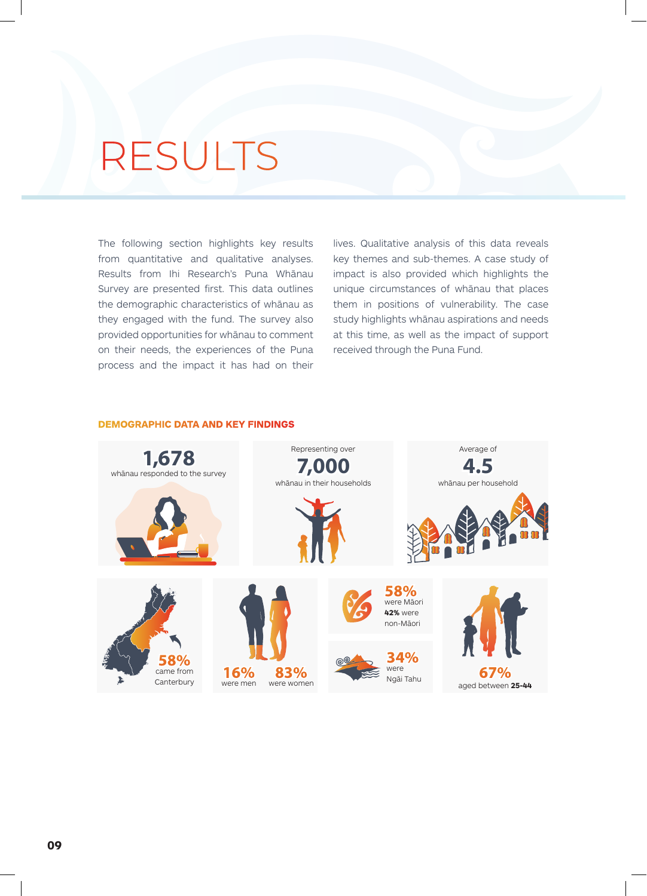# RESULTS

The following section highlights key results from quantitative and qualitative analyses. Results from Ihi Research's Puna Whānau Survey are presented first. This data outlines the demographic characteristics of whānau as they engaged with the fund. The survey also provided opportunities for whānau to comment on their needs, the experiences of the Puna process and the impact it has had on their

lives. Qualitative analysis of this data reveals key themes and sub-themes. A case study of impact is also provided which highlights the unique circumstances of whānau that places them in positions of vulnerability. The case study highlights whānau aspirations and needs at this time, as well as the impact of support received through the Puna Fund.



#### **DEMOGRAPHIC DATA AND KEY FINDINGS**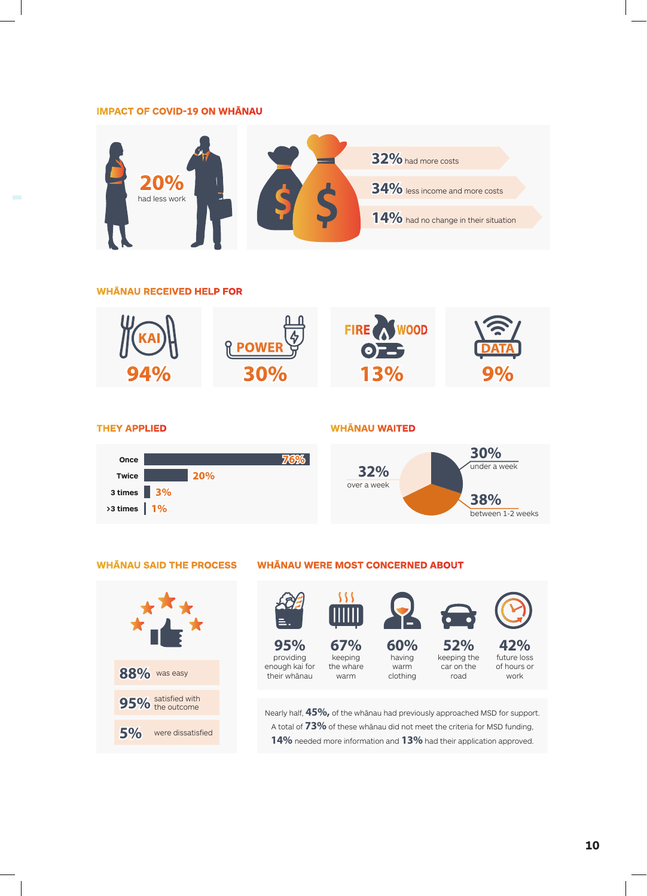#### **IMPACT OF COVID-19 ON WHĀNAU**



#### **WHĀNAU RECEIVED HELP FOR**



#### **THEY APPLIED WHĀNAU WAITED**





#### **WHĀNAU SAID THE PROCESS WHĀNAU WERE MOST CONCERNED ABOUT**



Nearly half, **45%,** of the whānau had previously approached MSD for support. A total of **73%** of these whānau did not meet the criteria for MSD funding, **14%** needed more information and **13%** had their application approved.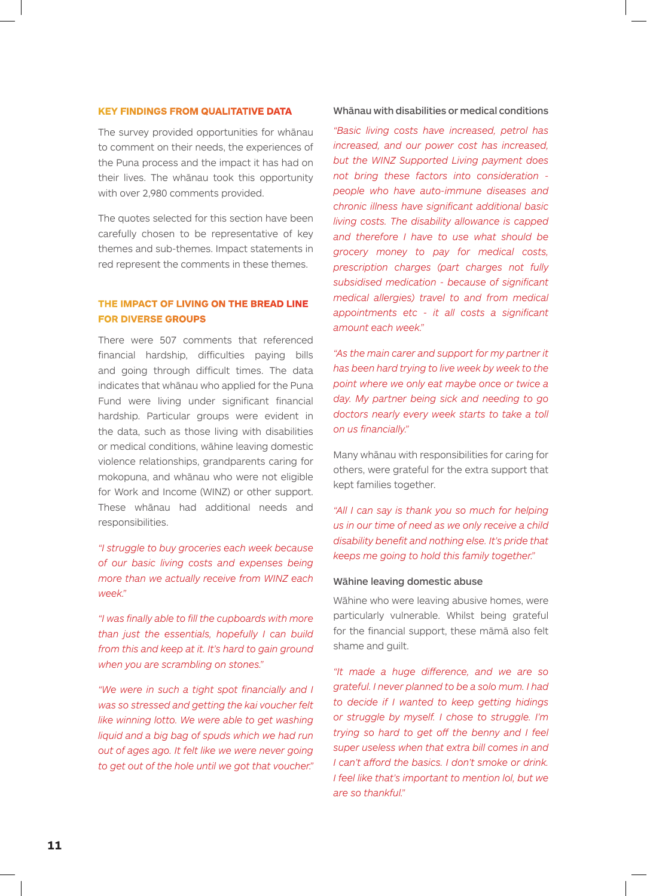#### **KEY FINDINGS FROM QUALITATIVE DATA**

The survey provided opportunities for whānau to comment on their needs, the experiences of the Puna process and the impact it has had on their lives. The whānau took this opportunity with over 2,980 comments provided.

The quotes selected for this section have been carefully chosen to be representative of key themes and sub-themes. Impact statements in red represent the comments in these themes.

#### **THE IMPACT OF LIVING ON THE BREAD LINE FOR DIVERSE GROUPS**

There were 507 comments that referenced financial hardship, difficulties paying bills and going through difficult times. The data indicates that whānau who applied for the Puna Fund were living under significant financial hardship. Particular groups were evident in the data, such as those living with disabilities or medical conditions, wāhine leaving domestic violence relationships, grandparents caring for mokopuna, and whānau who were not eligible for Work and Income (WINZ) or other support. These whānau had additional needs and responsibilities.

*"I struggle to buy groceries each week because of our basic living costs and expenses being more than we actually receive from WINZ each week."*

*"I was finally able to fill the cupboards with more than just the essentials, hopefully I can build from this and keep at it. It's hard to gain ground when you are scrambling on stones."* 

*"We were in such a tight spot financially and I was so stressed and getting the kai voucher felt like winning lotto. We were able to get washing liquid and a big bag of spuds which we had run out of ages ago. It felt like we were never going to get out of the hole until we got that voucher."*

Whānau with disabilities or medical conditions

*"Basic living costs have increased, petrol has increased, and our power cost has increased, but the WINZ Supported Living payment does not bring these factors into consideration people who have auto-immune diseases and chronic illness have significant additional basic living costs. The disability allowance is capped and therefore I have to use what should be grocery money to pay for medical costs, prescription charges (part charges not fully subsidised medication - because of significant medical allergies) travel to and from medical appointments etc - it all costs a significant amount each week."*

*"As the main carer and support for my partner it has been hard trying to live week by week to the point where we only eat maybe once or twice a day. My partner being sick and needing to go doctors nearly every week starts to take a toll on us financially."*

Many whānau with responsibilities for caring for others, were grateful for the extra support that kept families together.

*"All I can say is thank you so much for helping us in our time of need as we only receive a child disability benefit and nothing else. It's pride that keeps me going to hold this family together."* 

#### Wāhine leaving domestic abuse

Wāhine who were leaving abusive homes, were particularly vulnerable. Whilst being grateful for the financial support, these māmā also felt shame and guilt.

*"It made a huge difference, and we are so grateful. I never planned to be a solo mum. I had to decide if I wanted to keep getting hidings or struggle by myself. I chose to struggle. I'm trying so hard to get off the benny and I feel super useless when that extra bill comes in and I can't afford the basics. I don't smoke or drink. I feel like that's important to mention lol, but we are so thankful."*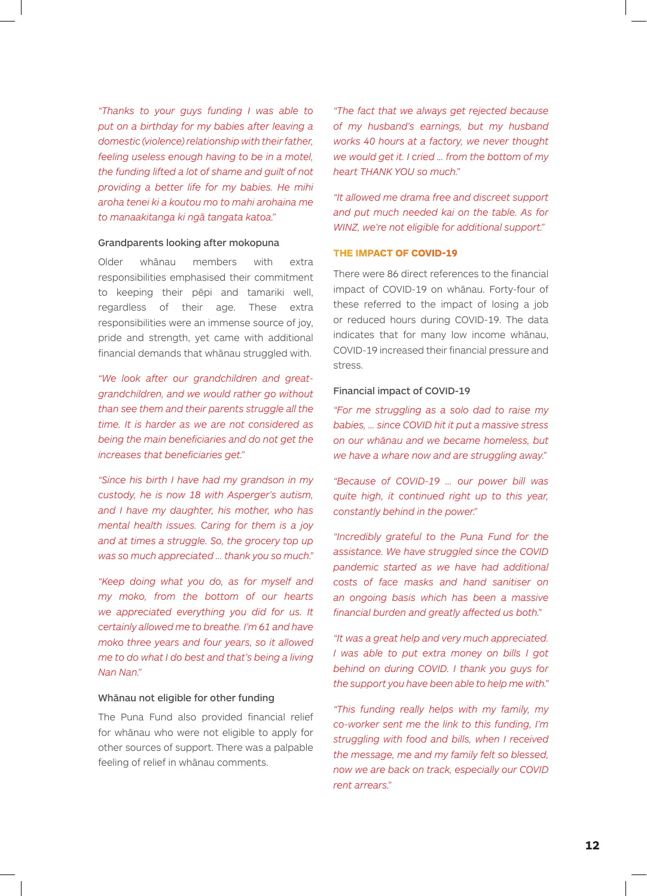*"Thanks to your guys funding I was able to put on a birthday for my babies after leaving a domestic (violence) relationship with their father, feeling useless enough having to be in a motel, the funding lifted a lot of shame and guilt of not providing a better life for my babies. He mihi aroha tenei ki a koutou mo to mahi arohaina me to manaakitanga ki ngā tangata katoa."*

#### Grandparents looking after mokopuna

Older whānau members with extra responsibilities emphasised their commitment to keeping their pēpi and tamariki well, regardless of their age. These extra responsibilities were an immense source of joy, pride and strength, yet came with additional financial demands that whānau struggled with.

*"We look after our grandchildren and greatgrandchildren, and we would rather go without than see them and their parents struggle all the time. It is harder as we are not considered as being the main beneficiaries and do not get the increases that beneficiaries get."*

*"Since his birth I have had my grandson in my custody, he is now 18 with Asperger's autism, and I have my daughter, his mother, who has mental health issues. Caring for them is a joy and at times a struggle. So, the grocery top up was so much appreciated ... thank you so much."*

*"Keep doing what you do, as for myself and my moko, from the bottom of our hearts we appreciated everything you did for us. It certainly allowed me to breathe. I'm 61 and have moko three years and four years, so it allowed me to do what I do best and that's being a living Nan Nan."*

#### Whānau not eligible for other funding

The Puna Fund also provided financial relief for whānau who were not eligible to apply for other sources of support. There was a palpable feeling of relief in whānau comments.

*"The fact that we always get rejected because of my husband's earnings, but my husband works 40 hours at a factory, we never thought we would get it. I cried … from the bottom of my heart THANK YOU so much."* 

*"It allowed me drama free and discreet support and put much needed kai on the table. As for WINZ, we're not eligible for additional support."*

#### **THE IMPACT OF COVID-19**

There were 86 direct references to the financial impact of COVID-19 on whānau. Forty-four of these referred to the impact of losing a job or reduced hours during COVID-19. The data indicates that for many low income whānau, COVID-19 increased their financial pressure and stress.

#### Financial impact of COVID-19

*"For me struggling as a solo dad to raise my babies, … since COVID hit it put a massive stress on our whānau and we became homeless, but we have a whare now and are struggling away."* 

*"Because of COVID-19 ... our power bill was quite high, it continued right up to this year, constantly behind in the power."*

*"Incredibly grateful to the Puna Fund for the assistance. We have struggled since the COVID pandemic started as we have had additional costs of face masks and hand sanitiser on an ongoing basis which has been a massive financial burden and greatly affected us both."*

*"It was a great help and very much appreciated. I was able to put extra money on bills I got behind on during COVID. I thank you guys for the support you have been able to help me with."*

*"This funding really helps with my family, my co-worker sent me the link to this funding, I'm struggling with food and bills, when I received the message, me and my family felt so blessed, now we are back on track, especially our COVID rent arrears."*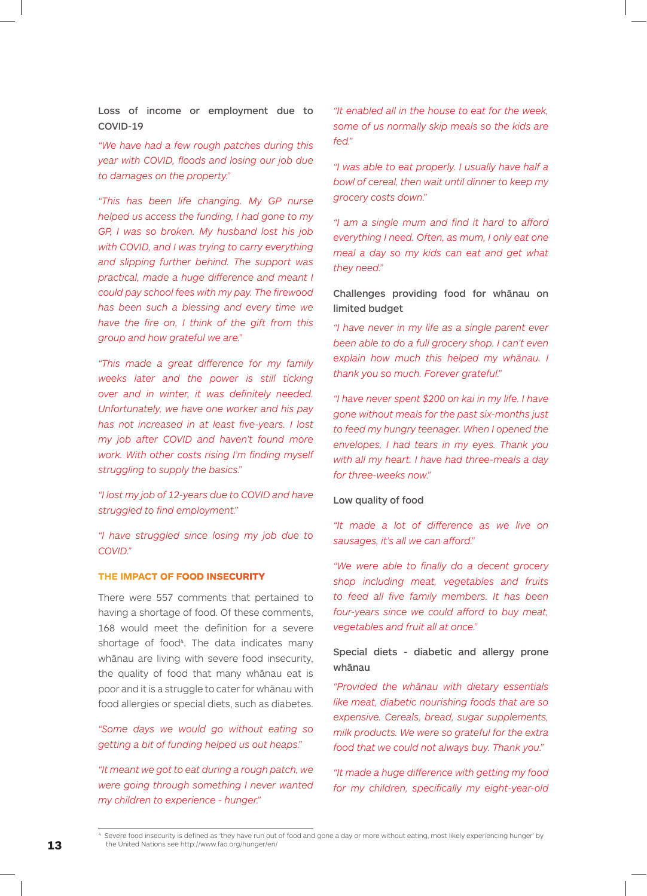Loss of income or employment due to COVID-19

*"We have had a few rough patches during this year with COVID, floods and losing our job due to damages on the property."*

*"This has been life changing. My GP nurse helped us access the funding, I had gone to my GP, I was so broken. My husband lost his job with COVID, and I was trying to carry everything and slipping further behind. The support was practical, made a huge difference and meant I could pay school fees with my pay. The firewood has been such a blessing and every time we have the fire on, I think of the gift from this group and how grateful we are."*

*"This made a great difference for my family weeks later and the power is still ticking over and in winter, it was definitely needed. Unfortunately, we have one worker and his pay has not increased in at least five-years. I lost my job after COVID and haven't found more work. With other costs rising I'm finding myself struggling to supply the basics."*

*"I lost my job of 12-years due to COVID and have struggled to find employment."*

*"I have struggled since losing my job due to COVID."* 

#### **THE IMPACT OF FOOD INSECURITY**

There were 557 comments that pertained to having a shortage of food. Of these comments, 168 would meet the definition for a severe shortage of food<sup>4</sup>. The data indicates many whānau are living with severe food insecurity, the quality of food that many whānau eat is poor and it is a struggle to cater for whānau with food allergies or special diets, such as diabetes.

*"Some days we would go without eating so getting a bit of funding helped us out heaps."* 

*"It meant we got to eat during a rough patch, we were going through something I never wanted my children to experience - hunger."* 

*"It enabled all in the house to eat for the week, some of us normally skip meals so the kids are fed."*

*"I was able to eat properly. I usually have half a bowl of cereal, then wait until dinner to keep my grocery costs down."* 

*"I am a single mum and find it hard to afford everything I need. Often, as mum, I only eat one meal a day so my kids can eat and get what they need."*

#### Challenges providing food for whānau on limited budget

*"I have never in my life as a single parent ever been able to do a full grocery shop. I can't even explain how much this helped my whānau. I thank you so much. Forever grateful."*

*"I have never spent \$200 on kai in my life. I have gone without meals for the past six-months just to feed my hungry teenager. When I opened the envelopes, I had tears in my eyes. Thank you with all my heart. I have had three-meals a day for three-weeks now."*

#### Low quality of food

*"It made a lot of difference as we live on sausages, it's all we can afford."* 

*"We were able to finally do a decent grocery shop including meat, vegetables and fruits to feed all five family members. It has been four-years since we could afford to buy meat, vegetables and fruit all at once."*

Special diets - diabetic and allergy prone whānau

*"Provided the whānau with dietary essentials like meat, diabetic nourishing foods that are so expensive. Cereals, bread, sugar supplements, milk products. We were so grateful for the extra food that we could not always buy. Thank you."*

*"It made a huge difference with getting my food for my children, specifically my eight-year-old*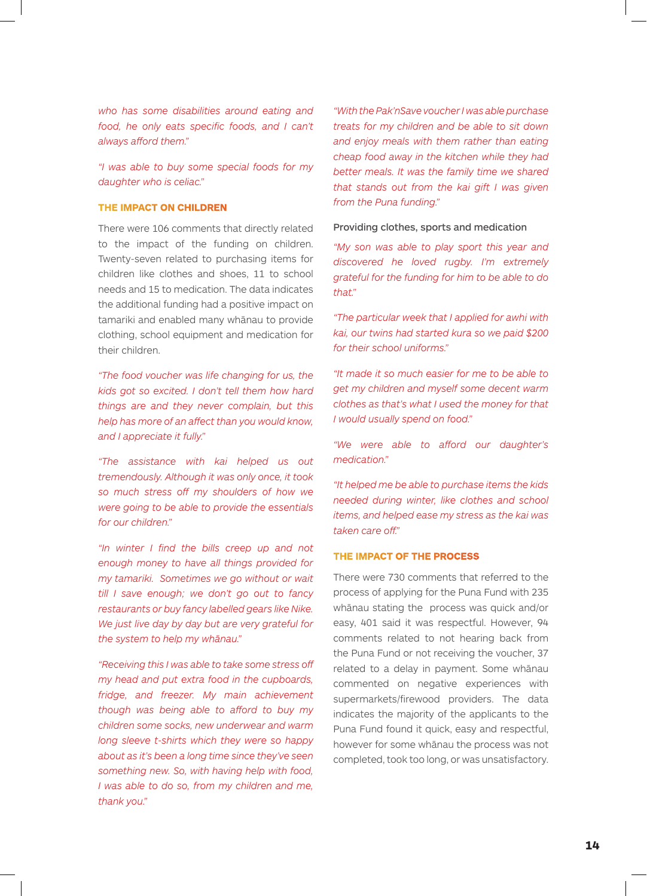*who has some disabilities around eating and food, he only eats specific foods, and I can't always afford them."*

*"I was able to buy some special foods for my daughter who is celiac."* 

#### **THE IMPACT ON CHILDREN**

There were 106 comments that directly related to the impact of the funding on children. Twenty-seven related to purchasing items for children like clothes and shoes, 11 to school needs and 15 to medication. The data indicates the additional funding had a positive impact on tamariki and enabled many whānau to provide clothing, school equipment and medication for their children.

*"The food voucher was life changing for us, the kids got so excited. I don't tell them how hard things are and they never complain, but this help has more of an affect than you would know, and I appreciate it fully."*

*"The assistance with kai helped us out tremendously. Although it was only once, it took so much stress off my shoulders of how we were going to be able to provide the essentials for our children."*

*"In winter I find the bills creep up and not enough money to have all things provided for my tamariki. Sometimes we go without or wait till I save enough; we don't go out to fancy restaurants or buy fancy labelled gears like Nike. We just live day by day but are very grateful for the system to help my whānau."* 

*"Receiving this I was able to take some stress off my head and put extra food in the cupboards, fridge, and freezer. My main achievement though was being able to afford to buy my children some socks, new underwear and warm long sleeve t-shirts which they were so happy about as it's been a long time since they've seen something new. So, with having help with food, I was able to do so, from my children and me, thank you."*

*"With the Pak'nSave voucher I was able purchase treats for my children and be able to sit down and enjoy meals with them rather than eating cheap food away in the kitchen while they had better meals. It was the family time we shared that stands out from the kai gift I was given from the Puna funding."*

#### Providing clothes, sports and medication

*"My son was able to play sport this year and discovered he loved rugby. I'm extremely grateful for the funding for him to be able to do that."*

*"The particular week that I applied for awhi with kai, our twins had started kura so we paid \$200 for their school uniforms."* 

*"It made it so much easier for me to be able to get my children and myself some decent warm clothes as that's what I used the money for that I would usually spend on food."*

*"We were able to afford our daughter's medication."*

*"It helped me be able to purchase items the kids needed during winter, like clothes and school items, and helped ease my stress as the kai was taken care off."*

#### **THE IMPACT OF THE PROCESS**

There were 730 comments that referred to the process of applying for the Puna Fund with 235 whānau stating the process was quick and/or easy, 401 said it was respectful. However, 94 comments related to not hearing back from the Puna Fund or not receiving the voucher, 37 related to a delay in payment. Some whānau commented on negative experiences with supermarkets/firewood providers. The data indicates the majority of the applicants to the Puna Fund found it quick, easy and respectful, however for some whānau the process was not completed, took too long, or was unsatisfactory.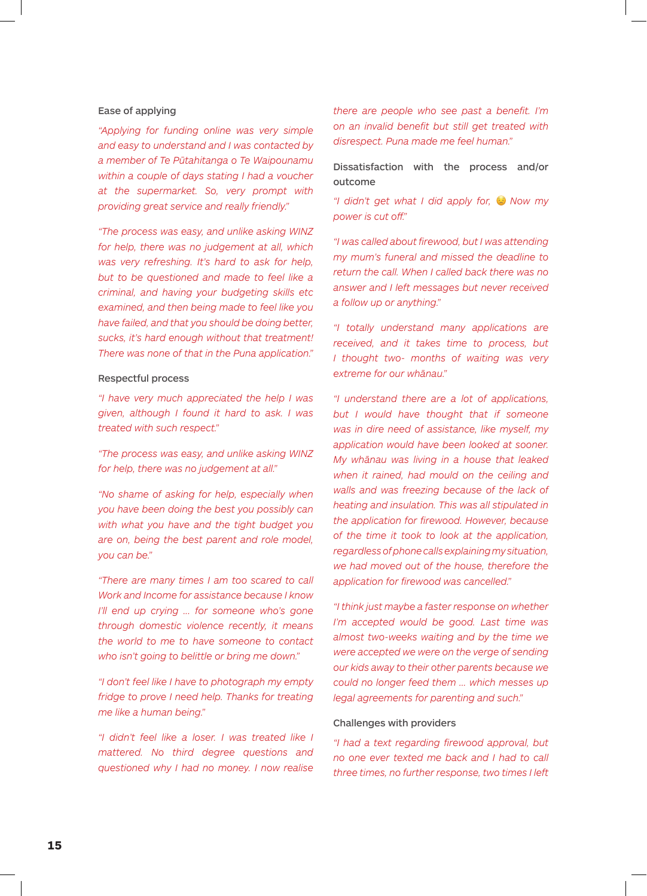#### Ease of applying

*"Applying for funding online was very simple and easy to understand and I was contacted by a member of Te Pūtahitanga o Te Waipounamu within a couple of days stating I had a voucher at the supermarket. So, very prompt with providing great service and really friendly."*

*"The process was easy, and unlike asking WINZ for help, there was no judgement at all, which was very refreshing. It's hard to ask for help, but to be questioned and made to feel like a criminal, and having your budgeting skills etc examined, and then being made to feel like you have failed, and that you should be doing better, sucks, it's hard enough without that treatment! There was none of that in the Puna application."*

#### Respectful process

*"I have very much appreciated the help I was given, although I found it hard to ask. I was treated with such respect."*

*"The process was easy, and unlike asking WINZ for help, there was no judgement at all."*

*"No shame of asking for help, especially when you have been doing the best you possibly can with what you have and the tight budget you are on, being the best parent and role model, you can be."*

*"There are many times I am too scared to call Work and Income for assistance because I know I'll end up crying ... for someone who's gone through domestic violence recently, it means the world to me to have someone to contact who isn't going to belittle or bring me down."*

*"I don't feel like I have to photograph my empty fridge to prove I need help. Thanks for treating me like a human being."*

*"I didn't feel like a loser. I was treated like I mattered. No third degree questions and questioned why I had no money. I now realise* 

*there are people who see past a benefit. I'm on an invalid benefit but still get treated with disrespect. Puna made me feel human."*

Dissatisfaction with the process and/or outcome

*"I didn't get what I did apply for, a Now my power is cut off."*

*"I was called about firewood, but I was attending my mum's funeral and missed the deadline to return the call. When I called back there was no answer and I left messages but never received a follow up or anything."*

*"I totally understand many applications are received, and it takes time to process, but I thought two- months of waiting was very extreme for our whānau."*

*"I understand there are a lot of applications, but I would have thought that if someone was in dire need of assistance, like myself, my application would have been looked at sooner. My whānau was living in a house that leaked when it rained, had mould on the ceiling and walls and was freezing because of the lack of heating and insulation. This was all stipulated in the application for firewood. However, because of the time it took to look at the application, regardless of phone calls explaining my situation, we had moved out of the house, therefore the application for firewood was cancelled."*

*"I think just maybe a faster response on whether I'm accepted would be good. Last time was almost two-weeks waiting and by the time we were accepted we were on the verge of sending our kids away to their other parents because we could no longer feed them ... which messes up legal agreements for parenting and such."*

#### Challenges with providers

*"I had a text regarding firewood approval, but no one ever texted me back and I had to call three times, no further response, two times I left*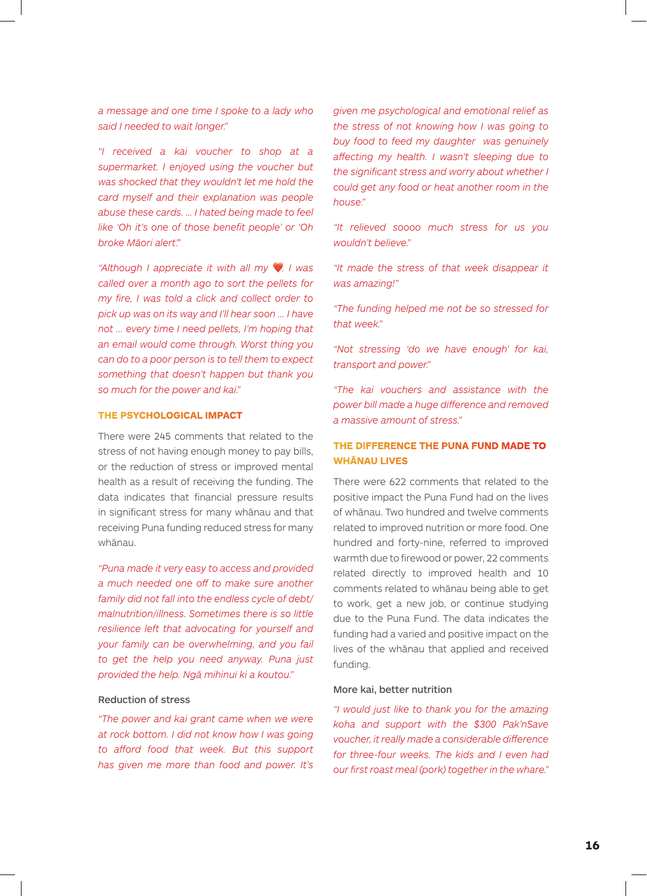*a message and one time I spoke to a lady who said I needed to wait longer."*

*"I received a kai voucher to shop at a supermarket. I enjoyed using the voucher but was shocked that they wouldn't let me hold the card myself and their explanation was people abuse these cards. … I hated being made to feel like 'Oh it's one of those benefit people' or 'Oh broke Māori alert'."*

*"Although I appreciate it with all my* ❤*. I was called over a month ago to sort the pellets for my fire, I was told a click and collect order to pick up was on its way and I'll hear soon ... I have not ... every time I need pellets, I'm hoping that an email would come through. Worst thing you can do to a poor person is to tell them to expect something that doesn't happen but thank you so much for the power and kai."* 

#### **THE PSYCHOLOGICAL IMPACT**

There were 245 comments that related to the stress of not having enough money to pay bills, or the reduction of stress or improved mental health as a result of receiving the funding. The data indicates that financial pressure results in significant stress for many whānau and that receiving Puna funding reduced stress for many whānau.

*"Puna made it very easy to access and provided a much needed one off to make sure another family did not fall into the endless cycle of debt/ malnutrition/illness. Sometimes there is so little resilience left that advocating for yourself and your family can be overwhelming, and you fail to get the help you need anyway. Puna just provided the help. Ngā mihinui ki a koutou."*

#### Reduction of stress

*"The power and kai grant came when we were at rock bottom. I did not know how I was going to afford food that week. But this support has given me more than food and power. It's* 

*given me psychological and emotional relief as the stress of not knowing how I was going to buy food to feed my daughter was genuinely affecting my health. I wasn't sleeping due to the significant stress and worry about whether I could get any food or heat another room in the house."*

*"It relieved soooo much stress for us you wouldn't believe."*

*"It made the stress of that week disappear it was amazing!"*

*"The funding helped me not be so stressed for that week."*

*"Not stressing 'do we have enough' for kai, transport and power."* 

*"The kai vouchers and assistance with the power bill made a huge difference and removed a massive amount of stress."*

#### **THE DIFFERENCE THE PUNA FUND MADE TO WHĀNAU LIVES**

There were 622 comments that related to the positive impact the Puna Fund had on the lives of whānau. Two hundred and twelve comments related to improved nutrition or more food. One hundred and forty-nine, referred to improved warmth due to firewood or power, 22 comments related directly to improved health and 10 comments related to whānau being able to get to work, get a new job, or continue studying due to the Puna Fund. The data indicates the funding had a varied and positive impact on the lives of the whānau that applied and received funding.

#### More kai, better nutrition

*"I would just like to thank you for the amazing koha and support with the \$300 Pak'nSave voucher, it really made a considerable difference for three-four weeks. The kids and I even had our first roast meal (pork) together in the whare."*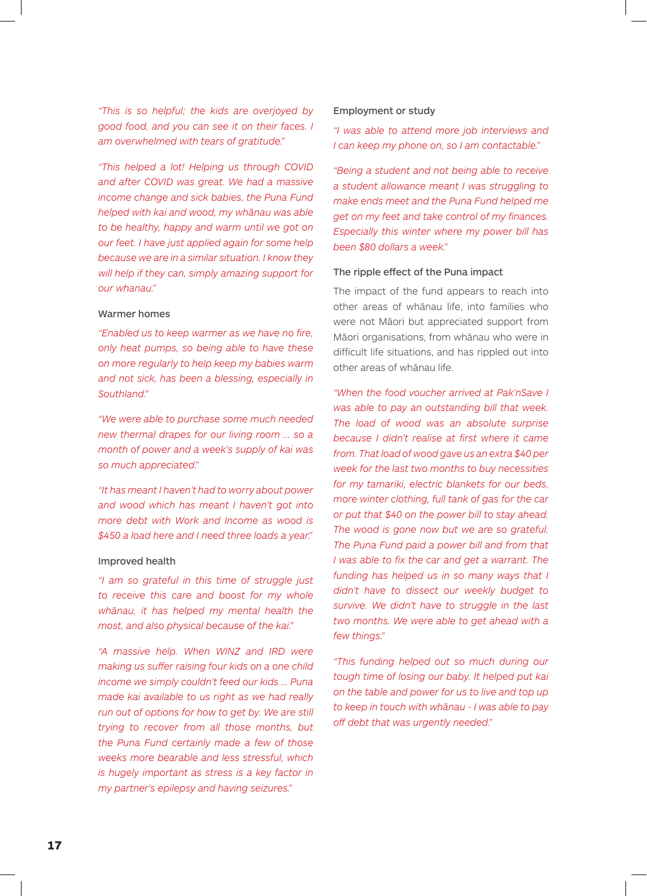*"This is so helpful; the kids are overjoyed by good food, and you can see it on their faces. I am overwhelmed with tears of gratitude."*

*"This helped a lot! Helping us through COVID and after COVID was great. We had a massive income change and sick babies, the Puna Fund helped with kai and wood, my whānau was able to be healthy, happy and warm until we got on our feet. I have just applied again for some help because we are in a similar situation. I know they will help if they can, simply amazing support for our whanau."*

#### Warmer homes

*"Enabled us to keep warmer as we have no fire, only heat pumps, so being able to have these on more regularly to help keep my babies warm and not sick, has been a blessing, especially in Southland."*

*"We were able to purchase some much needed new thermal drapes for our living room ... so a month of power and a week's supply of kai was so much appreciated."*

*"It has meant I haven't had to worry about power and wood which has meant I haven't got into more debt with Work and Income as wood is \$450 a load here and I need three loads a year."*

#### Improved health

*"I am so grateful in this time of struggle just to receive this care and boost for my whole whānau, it has helped my mental health the most, and also physical because of the kai."*

*"A massive help. When WINZ and IRD were making us suffer raising four kids on a one child income we simply couldn't feed our kids ... Puna made kai available to us right as we had really run out of options for how to get by. We are still trying to recover from all those months, but the Puna Fund certainly made a few of those weeks more bearable and less stressful, which is hugely important as stress is a key factor in my partner's epilepsy and having seizures."*

#### Employment or study

*"I was able to attend more job interviews and I can keep my phone on, so I am contactable."*

*"Being a student and not being able to receive a student allowance meant I was struggling to make ends meet and the Puna Fund helped me get on my feet and take control of my finances. Especially this winter where my power bill has been \$80 dollars a week."*

#### The ripple effect of the Puna impact

The impact of the fund appears to reach into other areas of whānau life, into families who were not Māori but appreciated support from Māori organisations, from whānau who were in difficult life situations, and has rippled out into other areas of whānau life.

*"When the food voucher arrived at Pak'nSave I was able to pay an outstanding bill that week. The load of wood was an absolute surprise because I didn't realise at first where it came from. That load of wood gave us an extra \$40 per week for the last two months to buy necessities for my tamariki, electric blankets for our beds, more winter clothing, full tank of gas for the car or put that \$40 on the power bill to stay ahead. The wood is gone now but we are so grateful. The Puna Fund paid a power bill and from that I was able to fix the car and get a warrant. The funding has helped us in so many ways that I didn't have to dissect our weekly budget to survive. We didn't have to struggle in the last two months. We were able to get ahead with a few things."*

*"This funding helped out so much during our tough time of losing our baby. It helped put kai on the table and power for us to live and top up to keep in touch with whānau - I was able to pay off debt that was urgently needed."*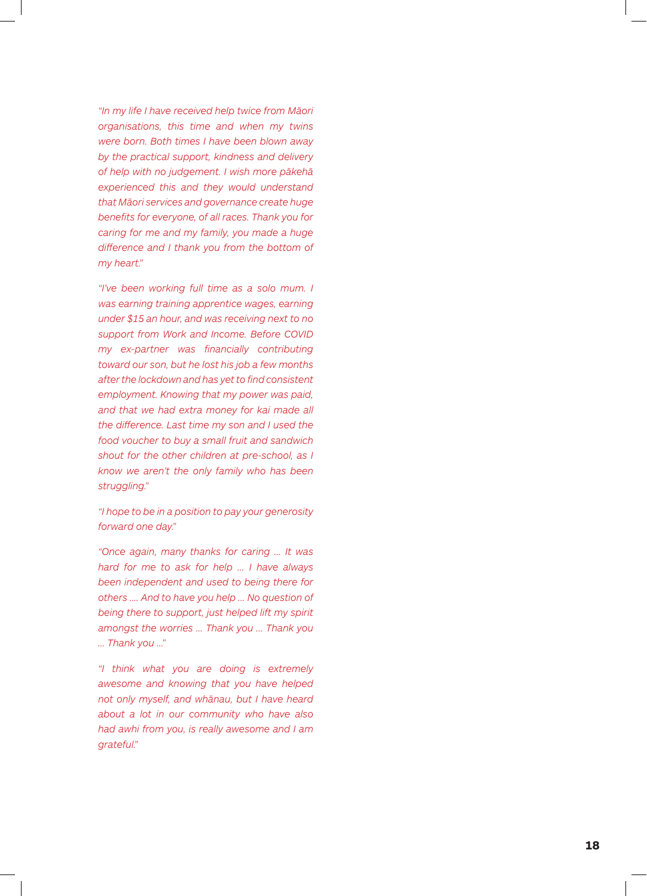*"In my life I have received help twice from Māori organisations, this time and when my twins were born. Both times I have been blown away by the practical support, kindness and delivery of help with no judgement. I wish more pākehā experienced this and they would understand that Māori services and governance create huge benefits for everyone, of all races. Thank you for caring for me and my family, you made a huge difference and I thank you from the bottom of my heart."*

*"I've been working full time as a solo mum. I was earning training apprentice wages, earning under \$15 an hour, and was receiving next to no support from Work and Income. Before COVID my ex-partner was financially contributing toward our son, but he lost his job a few months after the lockdown and has yet to find consistent employment. Knowing that my power was paid, and that we had extra money for kai made all the difference. Last time my son and I used the food voucher to buy a small fruit and sandwich shout for the other children at pre-school, as I know we aren't the only family who has been struggling."*

*"I hope to be in a position to pay your generosity forward one day."*

*"Once again, many thanks for caring ... It was hard for me to ask for help ... I have always been independent and used to being there for others .... And to have you help ... No question of being there to support, just helped lift my spirit amongst the worries ... Thank you ... Thank you ... Thank you ..."*

*"I think what you are doing is extremely awesome and knowing that you have helped not only myself, and whānau, but I have heard about a lot in our community who have also had awhi from you, is really awesome and I am grateful."*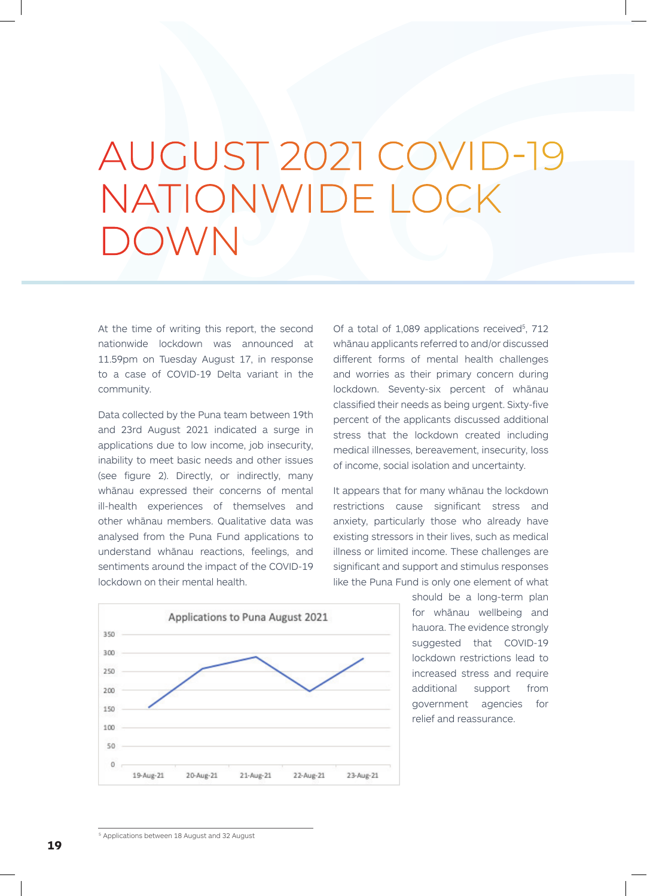### AUGUST 2021 COVID-19 NATIONWIDE LOCK DOWN

At the time of writing this report, the second nationwide lockdown was announced at 11.59pm on Tuesday August 17, in response to a case of COVID-19 Delta variant in the community.

Data collected by the Puna team between 19th and 23rd August 2021 indicated a surge in applications due to low income, job insecurity, inability to meet basic needs and other issues (see figure 2). Directly, or indirectly, many whānau expressed their concerns of mental ill-health experiences of themselves and other whānau members. Qualitative data was analysed from the Puna Fund applications to understand whānau reactions, feelings, and sentiments around the impact of the COVID-19 lockdown on their mental health.

Of a total of  $1,089$  applications received<sup>5</sup>,  $712$ whānau applicants referred to and/or discussed different forms of mental health challenges and worries as their primary concern during lockdown. Seventy-six percent of whānau classified their needs as being urgent. Sixty-five percent of the applicants discussed additional stress that the lockdown created including medical illnesses, bereavement, insecurity, loss of income, social isolation and uncertainty.

It appears that for many whānau the lockdown restrictions cause significant stress and anxiety, particularly those who already have existing stressors in their lives, such as medical illness or limited income. These challenges are significant and support and stimulus responses like the Puna Fund is only one element of what



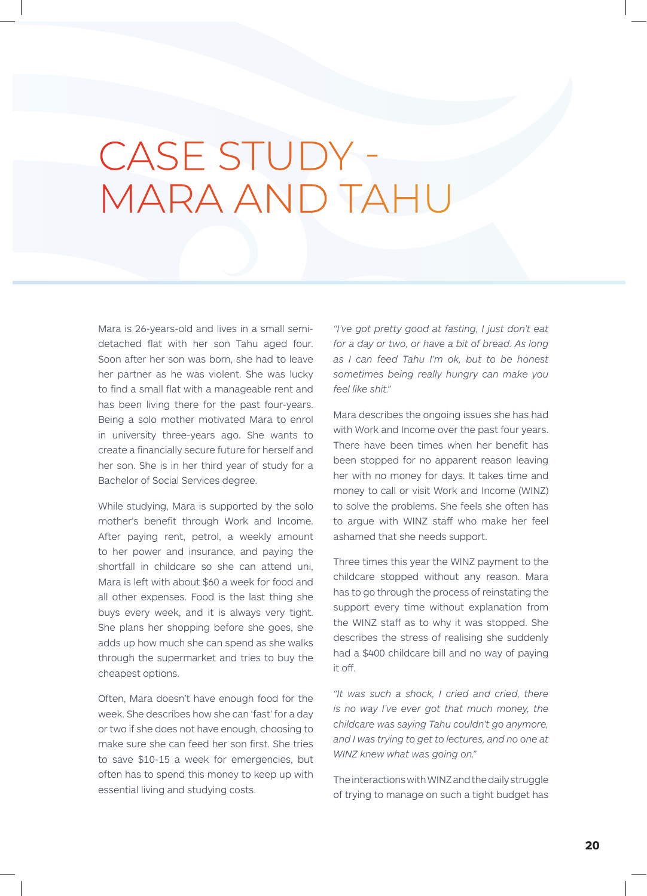## CASE STUDY - MARA AND TAHU

Mara is 26-years-old and lives in a small semidetached flat with her son Tahu aged four. Soon after her son was born, she had to leave her partner as he was violent. She was lucky to find a small flat with a manageable rent and has been living there for the past four-years. Being a solo mother motivated Mara to enrol in university three-years ago. She wants to create a financially secure future for herself and her son. She is in her third year of study for a Bachelor of Social Services degree.

While studying, Mara is supported by the solo mother's benefit through Work and Income. After paying rent, petrol, a weekly amount to her power and insurance, and paying the shortfall in childcare so she can attend uni, Mara is left with about \$60 a week for food and all other expenses. Food is the last thing she buys every week, and it is always very tight. She plans her shopping before she goes, she adds up how much she can spend as she walks through the supermarket and tries to buy the cheapest options.

Often, Mara doesn't have enough food for the week. She describes how she can 'fast' for a day or two if she does not have enough, choosing to make sure she can feed her son first. She tries to save \$10-15 a week for emergencies, but often has to spend this money to keep up with essential living and studying costs.

*"I've got pretty good at fasting, I just don't eat for a day or two, or have a bit of bread. As long as I can feed Tahu I'm ok, but to be honest sometimes being really hungry can make you feel like shit."*

Mara describes the ongoing issues she has had with Work and Income over the past four years. There have been times when her benefit has been stopped for no apparent reason leaving her with no money for days. It takes time and money to call or visit Work and Income (WINZ) to solve the problems. She feels she often has to argue with WINZ staff who make her feel ashamed that she needs support.

Three times this year the WINZ payment to the childcare stopped without any reason. Mara has to go through the process of reinstating the support every time without explanation from the WINZ staff as to why it was stopped. She describes the stress of realising she suddenly had a \$400 childcare bill and no way of paying it off.

*"It was such a shock, I cried and cried, there is no way I've ever got that much money, the childcare was saying Tahu couldn't go anymore, and I was trying to get to lectures, and no one at WINZ knew what was going on."*

The interactions with WINZ and the daily struggle of trying to manage on such a tight budget has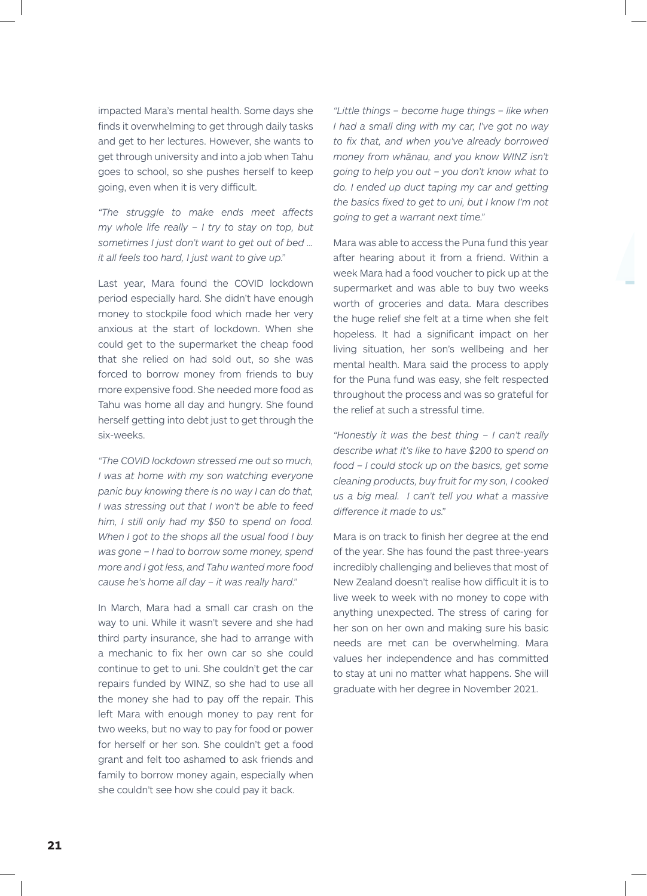impacted Mara's mental health. Some days she finds it overwhelming to get through daily tasks and get to her lectures. However, she wants to get through university and into a job when Tahu goes to school, so she pushes herself to keep going, even when it is very difficult.

*"The struggle to make ends meet affects my whole life really – I try to stay on top, but sometimes I just don't want to get out of bed … it all feels too hard, I just want to give up."*

Last year, Mara found the COVID lockdown period especially hard. She didn't have enough money to stockpile food which made her very anxious at the start of lockdown. When she could get to the supermarket the cheap food that she relied on had sold out, so she was forced to borrow money from friends to buy more expensive food. She needed more food as Tahu was home all day and hungry. She found herself getting into debt just to get through the six-weeks.

*"The COVID lockdown stressed me out so much, I was at home with my son watching everyone panic buy knowing there is no way I can do that, I was stressing out that I won't be able to feed him, I still only had my \$50 to spend on food. When I got to the shops all the usual food I buy was gone – I had to borrow some money, spend more and I got less, and Tahu wanted more food cause he's home all day – it was really hard."*

In March, Mara had a small car crash on the way to uni. While it wasn't severe and she had third party insurance, she had to arrange with a mechanic to fix her own car so she could continue to get to uni. She couldn't get the car repairs funded by WINZ, so she had to use all the money she had to pay off the repair. This left Mara with enough money to pay rent for two weeks, but no way to pay for food or power for herself or her son. She couldn't get a food grant and felt too ashamed to ask friends and family to borrow money again, especially when she couldn't see how she could pay it back.

*"Little things – become huge things – like when I had a small ding with my car, I've got no way to fix that, and when you've already borrowed money from whānau, and you know WINZ isn't going to help you out – you don't know what to do. I ended up duct taping my car and getting the basics fixed to get to uni, but I know I'm not going to get a warrant next time."*

Mara was able to access the Puna fund this year after hearing about it from a friend. Within a week Mara had a food voucher to pick up at the supermarket and was able to buy two weeks worth of groceries and data. Mara describes the huge relief she felt at a time when she felt hopeless. It had a significant impact on her living situation, her son's wellbeing and her mental health. Mara said the process to apply for the Puna fund was easy, she felt respected throughout the process and was so grateful for the relief at such a stressful time.

*"Honestly it was the best thing – I can't really describe what it's like to have \$200 to spend on food – I could stock up on the basics, get some cleaning products, buy fruit for my son, I cooked us a big meal. I can't tell you what a massive difference it made to us."*

Mara is on track to finish her degree at the end of the year. She has found the past three-years incredibly challenging and believes that most of New Zealand doesn't realise how difficult it is to live week to week with no money to cope with anything unexpected. The stress of caring for her son on her own and making sure his basic needs are met can be overwhelming. Mara values her independence and has committed to stay at uni no matter what happens. She will graduate with her degree in November 2021.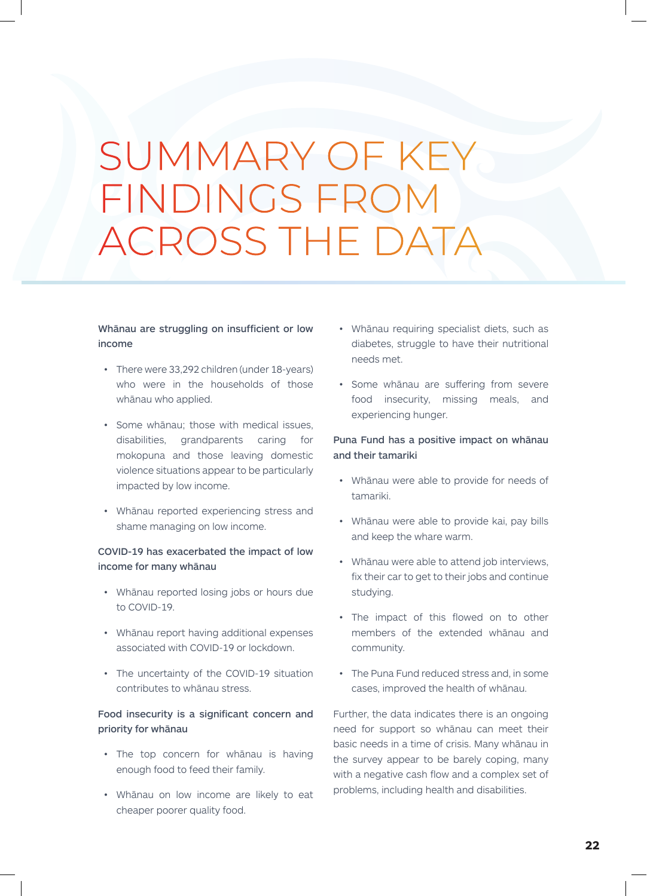### SUMMARY OF KEY FINDINGS FROM ACROSS THE DATA

#### Whānau are struggling on insufficient or low income

- There were 33,292 children (under 18-years) who were in the households of those whānau who applied.
- Some whānau; those with medical issues, disabilities, grandparents caring for mokopuna and those leaving domestic violence situations appear to be particularly impacted by low income.
- Whānau reported experiencing stress and shame managing on low income.

#### COVID-19 has exacerbated the impact of low income for many whānau

- Whānau reported losing jobs or hours due to COVID-19.
- Whānau report having additional expenses associated with COVID-19 or lockdown.
- The uncertainty of the COVID-19 situation contributes to whānau stress.

#### Food insecurity is a significant concern and priority for whānau

- The top concern for whānau is having enough food to feed their family.
- Whānau on low income are likely to eat cheaper poorer quality food.
- Whānau requiring specialist diets, such as diabetes, struggle to have their nutritional needs met.
- Some whānau are suffering from severe food insecurity, missing meals, and experiencing hunger.

#### Puna Fund has a positive impact on whānau and their tamariki

- Whānau were able to provide for needs of tamariki.
- Whānau were able to provide kai, pay bills and keep the whare warm.
- Whānau were able to attend job interviews, fix their car to get to their jobs and continue studying.
- The impact of this flowed on to other members of the extended whānau and community.
- The Puna Fund reduced stress and, in some cases, improved the health of whānau.

Further, the data indicates there is an ongoing need for support so whānau can meet their basic needs in a time of crisis. Many whānau in the survey appear to be barely coping, many with a negative cash flow and a complex set of problems, including health and disabilities.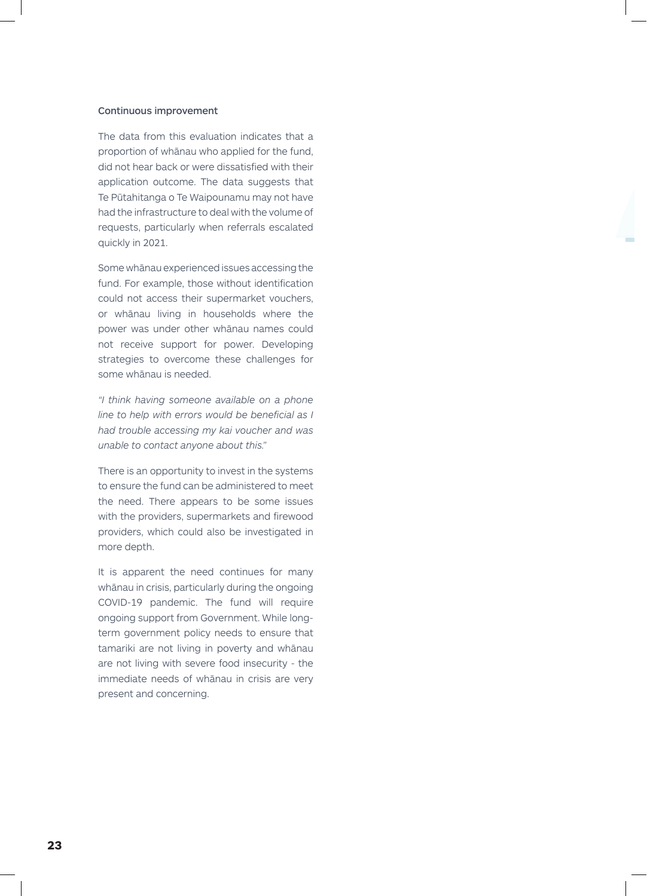#### Continuous improvement

The data from this evaluation indicates that a proportion of whānau who applied for the fund, did not hear back or were dissatisfied with their application outcome. The data suggests that Te Pūtahitanga o Te Waipounamu may not have had the infrastructure to deal with the volume of requests, particularly when referrals escalated quickly in 2021.

Some whānau experienced issues accessing the fund. For example, those without identification could not access their supermarket vouchers, or whānau living in households where the power was under other whānau names could not receive support for power. Developing strategies to overcome these challenges for some whānau is needed.

*"I think having someone available on a phone line to help with errors would be beneficial as I had trouble accessing my kai voucher and was unable to contact anyone about this."*

There is an opportunity to invest in the systems to ensure the fund can be administered to meet the need. There appears to be some issues with the providers, supermarkets and firewood providers, which could also be investigated in more depth.

It is apparent the need continues for many whānau in crisis, particularly during the ongoing COVID-19 pandemic. The fund will require ongoing support from Government. While longterm government policy needs to ensure that tamariki are not living in poverty and whānau are not living with severe food insecurity - the immediate needs of whānau in crisis are very present and concerning.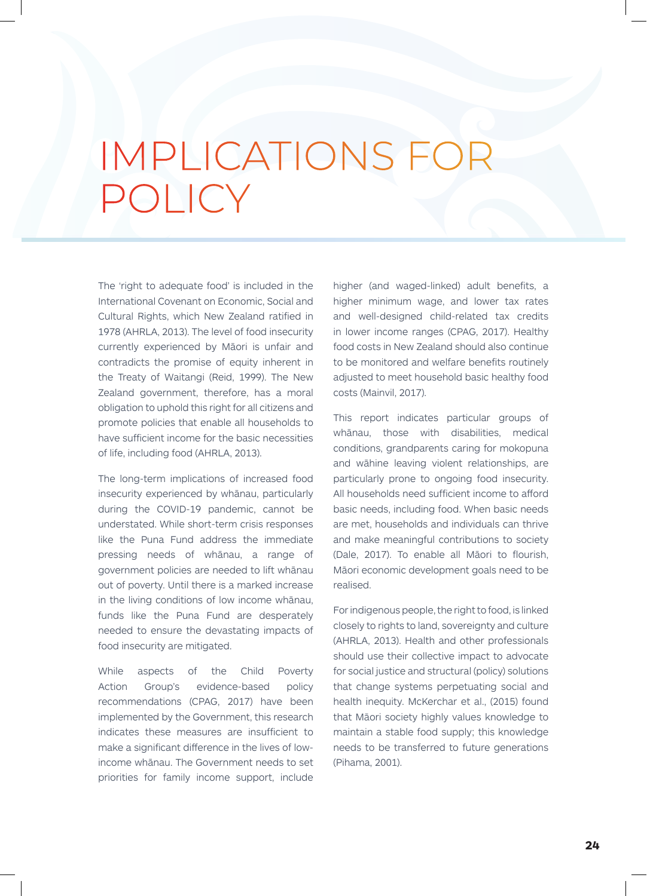### IMPLICATIONS FOR POLICY

The 'right to adequate food' is included in the International Covenant on Economic, Social and Cultural Rights, which New Zealand ratified in 1978 (AHRLA, 2013). The level of food insecurity currently experienced by Māori is unfair and contradicts the promise of equity inherent in the Treaty of Waitangi (Reid, 1999). The New Zealand government, therefore, has a moral obligation to uphold this right for all citizens and promote policies that enable all households to have sufficient income for the basic necessities of life, including food (AHRLA, 2013).

The long-term implications of increased food insecurity experienced by whānau, particularly during the COVID-19 pandemic, cannot be understated. While short-term crisis responses like the Puna Fund address the immediate pressing needs of whānau, a range of government policies are needed to lift whānau out of poverty. Until there is a marked increase in the living conditions of low income whānau, funds like the Puna Fund are desperately needed to ensure the devastating impacts of food insecurity are mitigated.

While aspects of the Child Poverty Action Group's evidence-based policy recommendations (CPAG, 2017) have been implemented by the Government, this research indicates these measures are insufficient to make a significant difference in the lives of lowincome whānau. The Government needs to set priorities for family income support, include

higher (and waged-linked) adult benefits, a higher minimum wage, and lower tax rates and well-designed child-related tax credits in lower income ranges (CPAG, 2017). Healthy food costs in New Zealand should also continue to be monitored and welfare benefits routinely adjusted to meet household basic healthy food costs (Mainvil, 2017).

This report indicates particular groups of whānau, those with disabilities, medical conditions, grandparents caring for mokopuna and wāhine leaving violent relationships, are particularly prone to ongoing food insecurity. All households need sufficient income to afford basic needs, including food. When basic needs are met, households and individuals can thrive and make meaningful contributions to society (Dale, 2017). To enable all Māori to flourish, Māori economic development goals need to be realised.

For indigenous people, the right to food, is linked closely to rights to land, sovereignty and culture (AHRLA, 2013). Health and other professionals should use their collective impact to advocate for social justice and structural (policy) solutions that change systems perpetuating social and health inequity. McKerchar et al., (2015) found that Māori society highly values knowledge to maintain a stable food supply; this knowledge needs to be transferred to future generations (Pihama, 2001).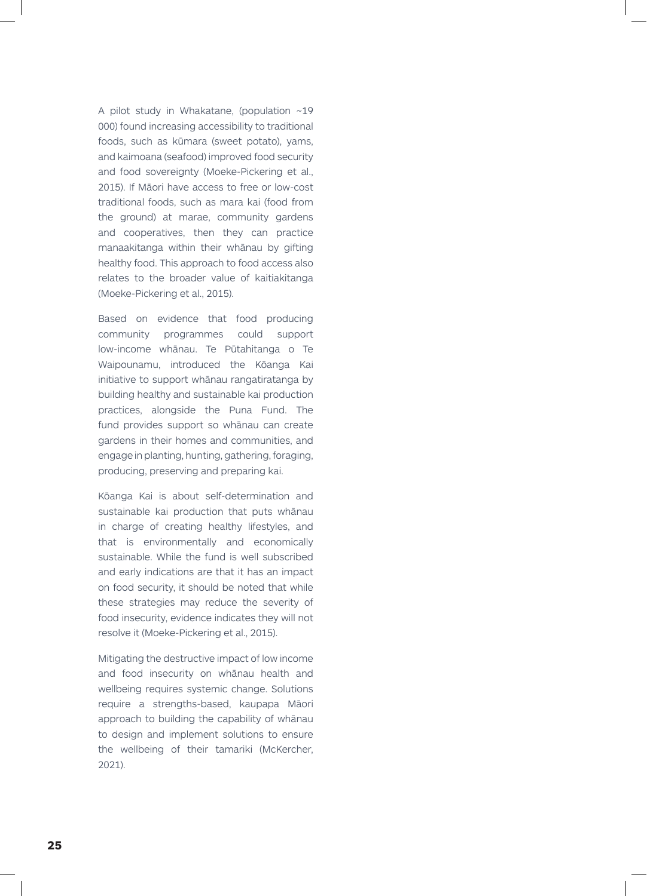A pilot study in Whakatane, (population ~19 000) found increasing accessibility to traditional foods, such as kūmara (sweet potato), yams, and kaimoana (seafood) improved food security and food sovereignty (Moeke-Pickering et al., 2015). If Māori have access to free or low-cost traditional foods, such as mara kai (food from the ground) at marae, community gardens and cooperatives, then they can practice manaakitanga within their whānau by gifting healthy food. This approach to food access also relates to the broader value of kaitiakitanga (Moeke-Pickering et al., 2015).

Based on evidence that food producing community programmes could support low-income whānau. Te Pūtahitanga o Te Waipounamu, introduced the Kōanga Kai initiative to support whānau rangatiratanga by building healthy and sustainable kai production practices, alongside the Puna Fund. The fund provides support so whānau can create gardens in their homes and communities, and engage in planting, hunting, gathering, foraging, producing, preserving and preparing kai.

Kōanga Kai is about self-determination and sustainable kai production that puts whānau in charge of creating healthy lifestyles, and that is environmentally and economically sustainable. While the fund is well subscribed and early indications are that it has an impact on food security, it should be noted that while these strategies may reduce the severity of food insecurity, evidence indicates they will not resolve it (Moeke-Pickering et al., 2015).

Mitigating the destructive impact of low income and food insecurity on whānau health and wellbeing requires systemic change. Solutions require a strengths-based, kaupapa Māori approach to building the capability of whānau to design and implement solutions to ensure the wellbeing of their tamariki (McKercher, 2021).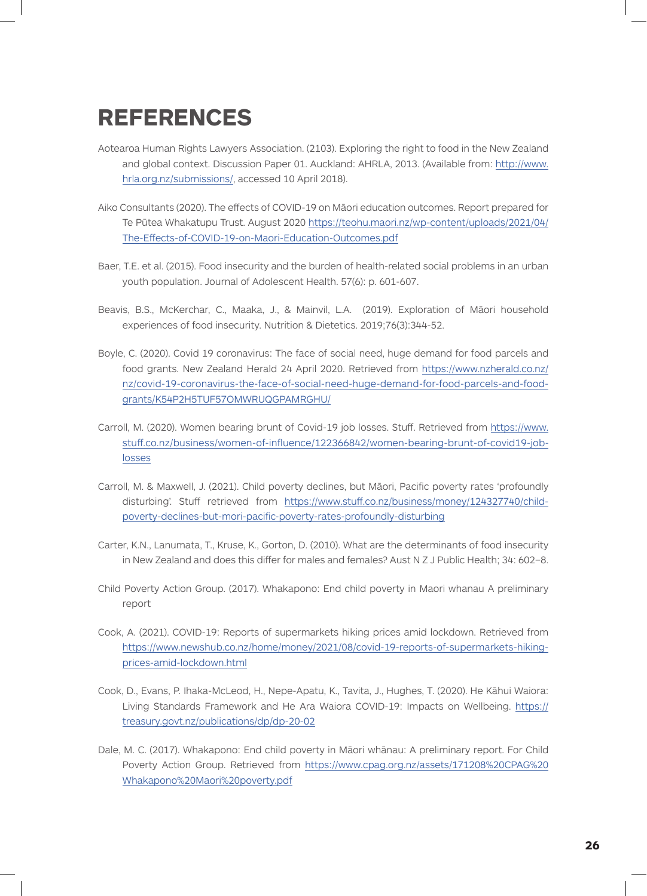### **REFERENCES**

- Aotearoa Human Rights Lawyers Association. (2103). Exploring the right to food in the New Zealand and global context. Discussion Paper 01. Auckland: AHRLA, 2013. (Available from: http://www. hrla.org.nz/submissions/, accessed 10 April 2018).
- Aiko Consultants (2020). The effects of COVID-19 on Māori education outcomes. Report prepared for Te Pūtea Whakatupu Trust. August 2020 https://teohu.maori.nz/wp-content/uploads/2021/04/ The-Effects-of-COVID-19-on-Maori-Education-Outcomes.pdf
- Baer, T.E. et al. (2015). Food insecurity and the burden of health-related social problems in an urban youth population. Journal of Adolescent Health. 57(6): p. 601-607.
- Beavis, B.S., McKerchar, C., Maaka, J., & Mainvil, L.A. (2019). Exploration of Māori household experiences of food insecurity. Nutrition & Dietetics. 2019;76(3):344-52.
- Boyle, C. (2020). Covid 19 coronavirus: The face of social need, huge demand for food parcels and food grants. New Zealand Herald 24 April 2020. Retrieved from https://www.nzherald.co.nz/ nz/covid-19-coronavirus-the-face-of-social-need-huge-demand-for-food-parcels-and-foodgrants/K54P2H5TUF57OMWRUQGPAMRGHU/
- Carroll, M. (2020). Women bearing brunt of Covid-19 job losses. Stuff. Retrieved from https://www. stuff.co.nz/business/women-of-influence/122366842/women-bearing-brunt-of-covid19-joblosses
- Carroll, M. & Maxwell, J. (2021). Child poverty declines, but Māori, Pacific poverty rates 'profoundly disturbing'. Stuff retrieved from https://www.stuff.co.nz/business/money/124327740/childpoverty-declines-but-mori-pacific-poverty-rates-profoundly-disturbing
- Carter, K.N., Lanumata, T., Kruse, K., Gorton, D. (2010). What are the determinants of food insecurity in New Zealand and does this differ for males and females? Aust N Z J Public Health; 34: 602–8.
- Child Poverty Action Group. (2017). Whakapono: End child poverty in Maori whanau A preliminary report
- Cook, A. (2021). COVID-19: Reports of supermarkets hiking prices amid lockdown. Retrieved from https://www.newshub.co.nz/home/money/2021/08/covid-19-reports-of-supermarkets-hikingprices-amid-lockdown.html
- Cook, D., Evans, P. Ihaka-McLeod, H., Nepe-Apatu, K., Tavita, J., Hughes, T. (2020). He Kāhui Waiora: Living Standards Framework and He Ara Waiora COVID-19: Impacts on Wellbeing. https:// treasury.govt.nz/publications/dp/dp-20-02
- Dale, M. C. (2017). Whakapono: End child poverty in Māori whānau: A preliminary report. For Child Poverty Action Group. Retrieved from https://www.cpag.org.nz/assets/171208%20CPAG%20 Whakapono%20Maori%20poverty.pdf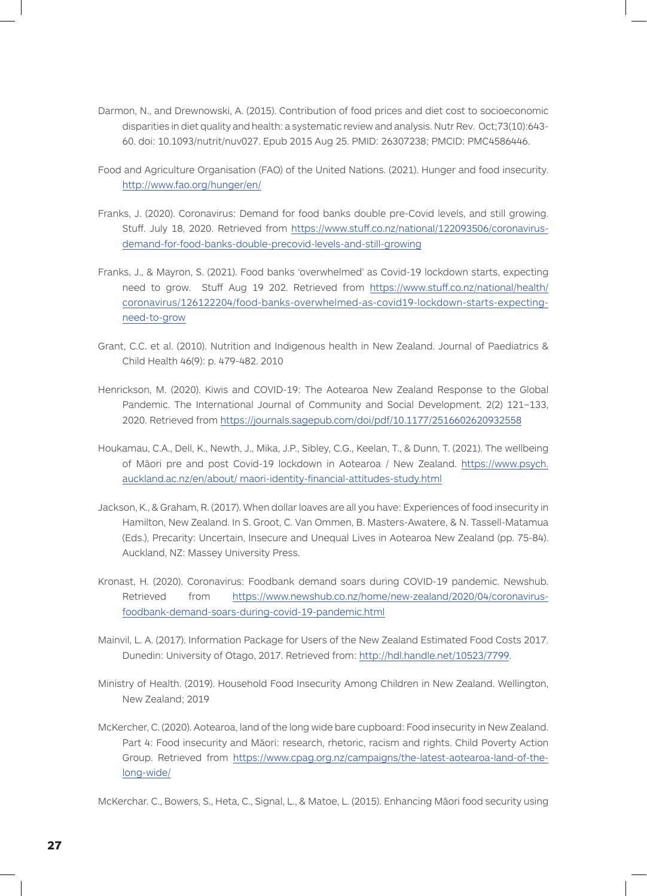- Darmon, N., and Drewnowski, A. (2015). Contribution of food prices and diet cost to socioeconomic disparities in diet quality and health: a systematic review and analysis. Nutr Rev. Oct;73(10):643- 60. doi: 10.1093/nutrit/nuv027. Epub 2015 Aug 25. PMID: 26307238; PMCID: PMC4586446.
- Food and Agriculture Organisation (FAO) of the United Nations. (2021). Hunger and food insecurity. http://www.fao.org/hunger/en/
- Franks, J. (2020). Coronavirus: Demand for food banks double pre-Covid levels, and still growing. Stuff. July 18, 2020. Retrieved from https://www.stuff.co.nz/national/122093506/coronavirusdemand-for-food-banks-double-precovid-levels-and-still-growing
- Franks, J., & Mayron, S. (2021). Food banks 'overwhelmed' as Covid-19 lockdown starts, expecting need to grow. Stuff Aug 19 202. Retrieved from https://www.stuff.co.nz/national/health/ coronavirus/126122204/food-banks-overwhelmed-as-covid19-lockdown-starts-expectingneed-to-grow
- Grant, C.C. et al. (2010). Nutrition and Indigenous health in New Zealand. Journal of Paediatrics & Child Health 46(9): p. 479-482. 2010
- Henrickson, M. (2020). Kiwis and COVID-19: The Aotearoa New Zealand Response to the Global Pandemic. The International Journal of Community and Social Development. 2(2) 121–133, 2020. Retrieved from https://journals.sagepub.com/doi/pdf/10.1177/2516602620932558
- Houkamau, C.A., Dell, K., Newth, J., Mika, J.P., Sibley, C.G., Keelan, T., & Dunn, T. (2021). The wellbeing of Māori pre and post Covid-19 lockdown in Aotearoa / New Zealand. https://www.psych. auckland.ac.nz/en/about/ maori-identity-financial-attitudes-study.html
- Jackson, K., & Graham, R. (2017). When dollar loaves are all you have: Experiences of food insecurity in Hamilton, New Zealand. In S. Groot, C. Van Ommen, B. Masters-Awatere, & N. Tassell-Matamua (Eds.), Precarity: Uncertain, Insecure and Unequal Lives in Aotearoa New Zealand (pp. 75-84). Auckland, NZ: Massey University Press.
- Kronast, H. (2020). Coronavirus: Foodbank demand soars during COVID-19 pandemic. Newshub. Retrieved from https://www.newshub.co.nz/home/new-zealand/2020/04/coronavirusfoodbank-demand-soars-during-covid-19-pandemic.html
- Mainvil, L. A. (2017). Information Package for Users of the New Zealand Estimated Food Costs 2017. Dunedin: University of Otago, 2017. Retrieved from: http://hdl.handle.net/10523/7799.
- Ministry of Health. (2019). Household Food Insecurity Among Children in New Zealand. Wellington, New Zealand; 2019
- McKercher, C. (2020). Aotearoa, land of the long wide bare cupboard: Food insecurity in New Zealand. Part 4: Food insecurity and Māori: research, rhetoric, racism and rights. Child Poverty Action Group. Retrieved from https://www.cpag.org.nz/campaigns/the-latest-aotearoa-land-of-thelong-wide/
- McKerchar. C., Bowers, S., Heta, C., Signal, L., & Matoe, L. (2015). Enhancing Māori food security using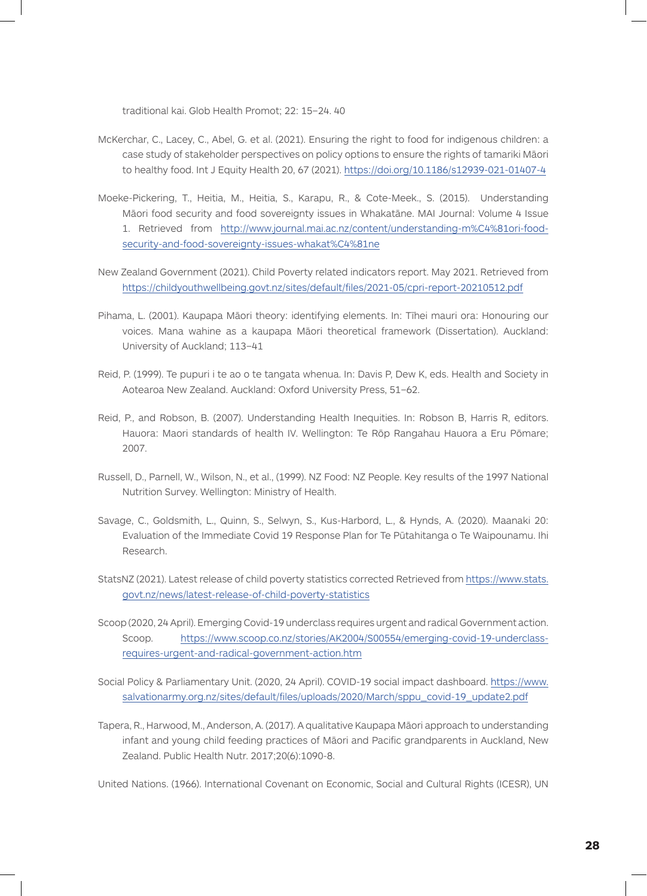traditional kai. Glob Health Promot; 22: 15–24. 40

- McKerchar, C., Lacey, C., Abel, G. et al. (2021). Ensuring the right to food for indigenous children: a case study of stakeholder perspectives on policy options to ensure the rights of tamariki Māori to healthy food. Int J Equity Health 20, 67 (2021). https://doi.org/10.1186/s12939-021-01407-4
- Moeke-Pickering, T., Heitia, M., Heitia, S., Karapu, R., & Cote-Meek., S. (2015). Understanding Māori food security and food sovereignty issues in Whakatāne. MAI Journal: Volume 4 Issue 1. Retrieved from http://www.journal.mai.ac.nz/content/understanding-m%C4%81ori-foodsecurity-and-food-sovereignty-issues-whakat%C4%81ne
- New Zealand Government (2021). Child Poverty related indicators report. May 2021. Retrieved from https://childyouthwellbeing.govt.nz/sites/default/files/2021-05/cpri-report-20210512.pdf
- Pihama, L. (2001). Kaupapa Māori theory: identifying elements. In: Tīhei mauri ora: Honouring our voices. Mana wahine as a kaupapa Māori theoretical framework (Dissertation). Auckland: University of Auckland; 113–41
- Reid, P. (1999). Te pupuri i te ao o te tangata whenua. In: Davis P, Dew K, eds. Health and Society in Aotearoa New Zealand. Auckland: Oxford University Press, 51–62.
- Reid, P., and Robson, B. (2007). Understanding Health Inequities. In: Robson B, Harris R, editors. Hauora: Maori standards of health IV. Wellington: Te Rōp Rangahau Hauora a Eru Pōmare; 2007.
- Russell, D., Parnell, W., Wilson, N., et al., (1999). NZ Food: NZ People. Key results of the 1997 National Nutrition Survey. Wellington: Ministry of Health.
- Savage, C., Goldsmith, L., Quinn, S., Selwyn, S., Kus-Harbord, L., & Hynds, A. (2020). Maanaki 20: Evaluation of the Immediate Covid 19 Response Plan for Te Pūtahitanga o Te Waipounamu. Ihi Research.
- StatsNZ (2021). Latest release of child poverty statistics corrected Retrieved from https://www.stats. govt.nz/news/latest-release-of-child-poverty-statistics
- Scoop (2020, 24 April). Emerging Covid-19 underclass requires urgent and radical Government action. Scoop. https://www.scoop.co.nz/stories/AK2004/S00554/emerging-covid-19-underclassrequires-urgent-and-radical-government-action.htm
- Social Policy & Parliamentary Unit. (2020, 24 April). COVID-19 social impact dashboard. https://www. salvationarmy.org.nz/sites/default/files/uploads/2020/March/sppu\_covid-19\_update2.pdf
- Tapera, R., Harwood, M., Anderson, A. (2017). A qualitative Kaupapa Māori approach to understanding infant and young child feeding practices of Māori and Pacific grandparents in Auckland, New Zealand. Public Health Nutr. 2017;20(6):1090-8.

United Nations. (1966). International Covenant on Economic, Social and Cultural Rights (ICESR), UN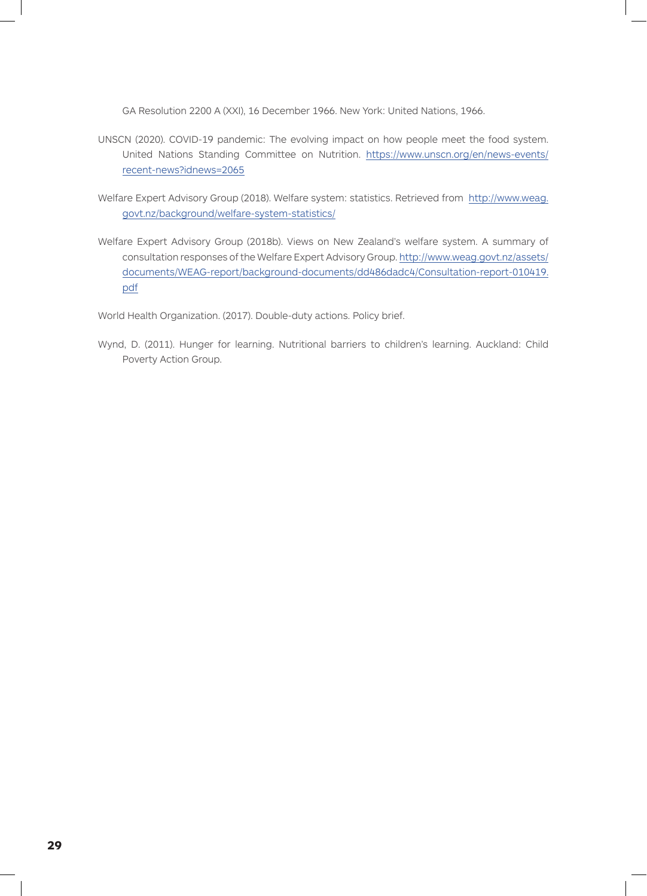GA Resolution 2200 A (XXI), 16 December 1966. New York: United Nations, 1966.

- UNSCN (2020). COVID-19 pandemic: The evolving impact on how people meet the food system. United Nations Standing Committee on Nutrition. https://www.unscn.org/en/news-events/ recent-news?idnews=2065
- Welfare Expert Advisory Group (2018). Welfare system: statistics. Retrieved from http://www.weag. govt.nz/background/welfare-system-statistics/
- Welfare Expert Advisory Group (2018b). Views on New Zealand's welfare system. A summary of consultation responses of the Welfare Expert Advisory Group. http://www.weag.govt.nz/assets/ documents/WEAG-report/background-documents/dd486dadc4/Consultation-report-010419. pdf

World Health Organization. (2017). Double-duty actions. Policy brief.

Wynd, D. (2011). Hunger for learning. Nutritional barriers to children's learning. Auckland: Child Poverty Action Group.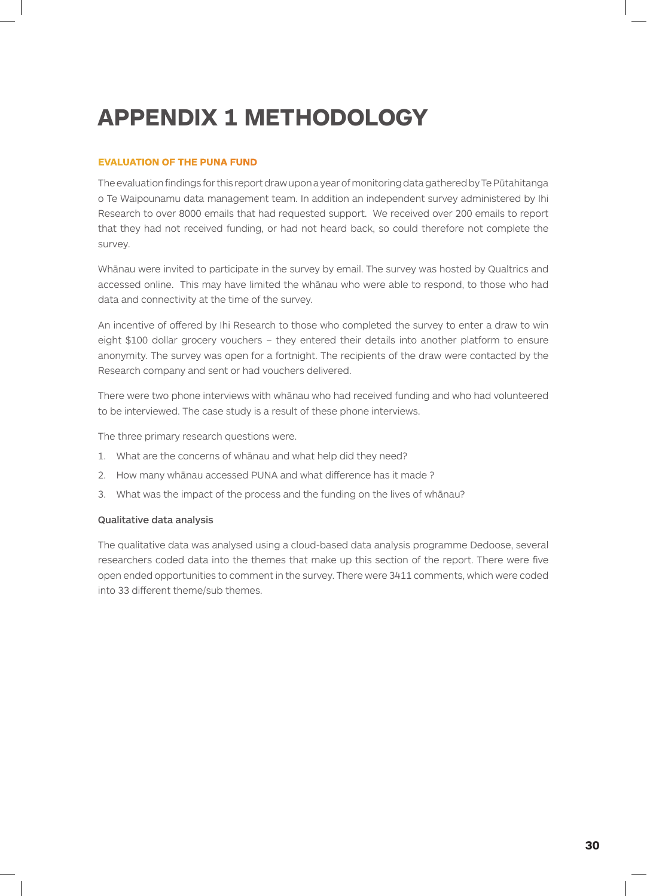### **APPENDIX 1 METHODOLOGY**

#### **EVALUATION OF THE PUNA FUND**

The evaluation findings for this report draw upon a year of monitoring data gathered by Te Pūtahitanga o Te Waipounamu data management team. In addition an independent survey administered by Ihi Research to over 8000 emails that had requested support. We received over 200 emails to report that they had not received funding, or had not heard back, so could therefore not complete the survey.

Whānau were invited to participate in the survey by email. The survey was hosted by Qualtrics and accessed online. This may have limited the whānau who were able to respond, to those who had data and connectivity at the time of the survey.

An incentive of offered by Ihi Research to those who completed the survey to enter a draw to win eight \$100 dollar grocery vouchers – they entered their details into another platform to ensure anonymity. The survey was open for a fortnight. The recipients of the draw were contacted by the Research company and sent or had vouchers delivered.

There were two phone interviews with whānau who had received funding and who had volunteered to be interviewed. The case study is a result of these phone interviews.

The three primary research questions were.

- 1. What are the concerns of whānau and what help did they need?
- 2. How many whānau accessed PUNA and what difference has it made ?
- 3. What was the impact of the process and the funding on the lives of whānau?

#### Qualitative data analysis

The qualitative data was analysed using a cloud-based data analysis programme Dedoose, several researchers coded data into the themes that make up this section of the report. There were five open ended opportunities to comment in the survey. There were 3411 comments, which were coded into 33 different theme/sub themes.